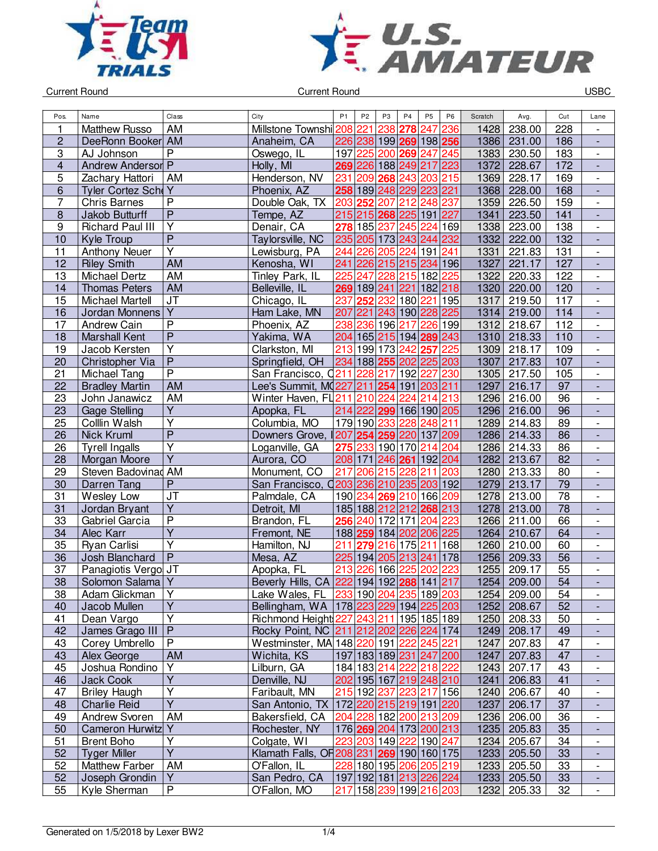



| Pos.                    | Name                     | Class                   | City                                               | P <sub>1</sub> | P <sub>2</sub>  | P <sub>3</sub> | P <sub>4</sub>      | P <sub>5</sub>          | P <sub>6</sub> | Scratch | Avg.   | Cut             | Lane                     |
|-------------------------|--------------------------|-------------------------|----------------------------------------------------|----------------|-----------------|----------------|---------------------|-------------------------|----------------|---------|--------|-----------------|--------------------------|
| 1                       | <b>Matthew Russo</b>     | AM                      | Millstone Townshi 208 221                          |                |                 | 238            | 278                 | 247                     | 236            | 1428    | 238.00 | 228             |                          |
| $\overline{c}$          | DeeRonn Booker AM        |                         | Anaheim, CA                                        |                |                 |                |                     | 226 238 199 269 198 256 |                | 1386    | 231.00 | 186             |                          |
| 3                       | AJ Johnson               | $\overline{P}$          | Oswego, IL                                         | 197            | 225             |                | 200 269             | 247 245                 |                | 1383    | 230.50 | 183             | $\overline{\phantom{a}}$ |
| $\overline{\mathbf{4}}$ | <b>Andrew Anderson P</b> |                         | Holly, MI                                          |                | 269 226         |                | 188 249 217         |                         | 223            | 1372    | 228.67 | 172             | $\overline{\phantom{a}}$ |
| 5                       | Zachary Hattori          | AM                      | Henderson, NV                                      | 231            | 209             |                | 268 243             | 203 215                 |                | 1369    | 228.17 | 169             | $\overline{\phantom{a}}$ |
| 6                       | Tyler Cortez Scho Y      |                         | Phoenix, AZ                                        |                |                 |                |                     | 258 189 248 229 223 221 |                | 1368    | 228.00 | 168             | $\Box$                   |
| 7                       | <b>Chris Barnes</b>      | $\overline{P}$          | Double Oak, TX                                     | 203            | 252             | 207            |                     | 212 248 237             |                | 1359    | 226.50 | 159             | $\overline{\phantom{a}}$ |
| $\boldsymbol{8}$        | Jakob Butturff           | $\overline{P}$          | Tempe, AZ                                          |                |                 |                |                     | 215 215 268 225 191 227 |                | 1341    | 223.50 | 141             | $\overline{\phantom{a}}$ |
| $\boldsymbol{9}$        | <b>Richard Paul III</b>  | $\overline{\mathsf{Y}}$ | Denair, CA                                         | 278            | 185 237         |                | 245                 | 224                     | 169            | 1338    | 223.00 | 138             | $\overline{\phantom{a}}$ |
| 10                      | Kyle Troup               | $\overline{P}$          | Taylorsville, NC                                   |                |                 |                | 235 205 173 243 244 |                         | 232            | 1332    | 222.00 | 132             | $\overline{\phantom{a}}$ |
| 11                      | <b>Anthony Neuer</b>     | Ÿ                       | Lewisburg, PA                                      | 244            |                 |                | 226 205 224         | 191                     | 241            | 1331    | 221.83 | 131             | $\overline{\phantom{a}}$ |
| 12                      | <b>Riley Smith</b>       | <b>AM</b>               | Kenosha, WI                                        | 241            |                 |                |                     | 226 215 215 234 196     |                | 1327    | 221.17 | 127             |                          |
| $\overline{13}$         | Michael Dertz            | AM                      | Tinley Park, IL                                    | 225            | 247             | 228            | 215                 | 182 225                 |                | 1322    | 220.33 | 122             | $\overline{\phantom{a}}$ |
| 14                      | <b>Thomas Peters</b>     | <b>AM</b>               | Belleville, IL                                     |                | 269 189 241     |                | 221                 | 182 218                 |                | 1320    | 220.00 | 120             | $\overline{\phantom{a}}$ |
| 15                      |                          | JT                      |                                                    | 237            |                 | 232            |                     | 221                     | 195            | $1317$  |        | 117             |                          |
|                         | Michael Martell          | $\overline{Y}$          | Chicago, IL                                        |                | 252             |                | 180                 |                         |                |         | 219.50 |                 | $\overline{\phantom{a}}$ |
| 16                      | Jordan Monnens           | $\overline{P}$          | Ham Lake, MN                                       | 207            |                 |                | 221 243 190 228     |                         | 225            | 1314    | 219.00 | 114             | $\Box$                   |
| 17                      | <b>Andrew Cain</b>       | $\overline{P}$          | Phoenix, AZ                                        | 238            | 236 196 217     |                |                     | 226                     | 199            | 1312    | 218.67 | 112             | $\blacksquare$           |
| 18                      | <b>Marshall Kent</b>     |                         | Yakima, WA                                         |                |                 |                |                     | 204 165 215 194 289 243 |                | 1310    | 218.33 | 110             | $\blacksquare$           |
| 19                      | Jacob Kersten            | Ϋ                       | Clarkston, MI                                      | 213            |                 |                | 199 173 242 257     |                         | 225            | 1309    | 218.17 | 109             | $\overline{\phantom{a}}$ |
| 20                      | Christopher Via          | $\overline{P}$          | Springfield, OH                                    |                | 234 188 255     |                |                     | 202 225 203             |                | 1307    | 217.83 | 107             | $\overline{\phantom{a}}$ |
| 21                      | Michael Tang             | $\overline{P}$          | San Francisco, 0211                                |                | 228             | 217            | 192                 | 227                     | 230            | 1305    | 217.50 | 105             | $\blacksquare$           |
| 22                      | <b>Bradley Martin</b>    | <b>AM</b>               | Lee's Summit, M(227 211 254                        |                |                 |                |                     | 191 203 211             |                | 1297    | 216.17 | 97              |                          |
| 23                      | John Janawicz            | <b>AM</b>               | Winter Haven, FL211                                |                | 210 224         |                | $\overline{2}24$    | 214                     | 213            | 1296    | 216.00 | 96              | $\overline{\phantom{a}}$ |
| 23                      | <b>Gage Stelling</b>     | $\overline{\mathsf{Y}}$ | Apopka, FL                                         |                | 214 222         |                |                     | 299 166 190 205         |                | 1296    | 216.00 | $\overline{96}$ |                          |
| 25                      | Colllin Walsh            | $\overline{\mathsf{Y}}$ | Columbia, MO                                       |                |                 |                |                     | 179 190 233 228 248 211 |                | 1289    | 214.83 | 89              | $\overline{\phantom{a}}$ |
| 26                      | Nick Kruml               | $\overline{P}$          | Downers Grove,                                     |                |                 |                |                     | 207 254 259 220 137 209 |                | 1286    | 214.33 | 86              | $\Box$                   |
| 26                      | <b>Tyrell Ingalls</b>    | $\overline{Y}$          | Loganville, GA                                     |                | 275 233 190 170 |                |                     | 214 204                 |                | 1286    | 214.33 | 86              | $\overline{\phantom{a}}$ |
| 28                      | Morgan Moore             | $\overline{\mathsf{Y}}$ | Aurora, CO                                         |                |                 |                |                     | 208 171 246 261 192 204 |                | 1282    | 213.67 | 82              | $\overline{\phantom{a}}$ |
| 29                      | Steven Badovinad AM      |                         | Monument, CO                                       | 217            |                 |                | 206 215 228         | 211                     | 203            | 1280    | 213.33 | 80              | $\overline{\phantom{a}}$ |
| 30                      | Darren Tang              | $\mathsf{P}$            | San Francisco, 0203 236 210 235 203 192            |                |                 |                |                     |                         |                | 1279    | 213.17 | 79              | $\overline{\phantom{a}}$ |
| 31                      | Wesley Low               | JT                      | Palmdale, CA                                       |                | 190 234         |                | 269 210             | 166 209                 |                | 1278    | 213.00 | 78              | $\overline{\phantom{a}}$ |
| 31                      | Jordan Bryant            | $\overline{Y}$          | Detroit, MI                                        |                | 185 188 212 212 |                |                     | 268 213                 |                | 1278    | 213.00 | 78              |                          |
| 33                      | Gabriel Garcia           | $\overline{\mathsf{P}}$ | Brandon, FL                                        | 256            | 240             | 172            | 171                 | 204                     | 223            | 1266    | 211.00 | 66              | $\overline{\phantom{a}}$ |
| 34                      | Alec Karr                | $\overline{Y}$          | Fremont, NE                                        |                | 188 259         |                |                     | 184 202 206 225         |                | 1264    | 210.67 | 64              |                          |
| 35                      | Ryan Carlisi             | Y                       | Hamilton, NJ                                       | 211            | 279             |                | 216 175             | 211                     | 168            | 1260    | 210.00 | 60              | $\overline{\phantom{a}}$ |
| 36                      | Josh Blanchard           | $\overline{P}$          | Mesa, AZ                                           |                |                 |                | 225 194 205 213 241 |                         | 178            | 1256    | 209.33 | 56              | $\blacksquare$           |
| 37                      | Panagiotis Vergo JT      |                         | Apopka, FL                                         | 213            | 226             | 166            | 225                 | 202                     | 223            | 1255    | 209.17 | 55              | $\overline{\phantom{a}}$ |
| 38                      | Solomon Salama Y         |                         | Beverly Hills, CA 222 194 192 288 141 217          |                |                 |                |                     |                         |                | 1254    | 209.00 | 54              |                          |
| 38                      | Adam Glickman            | Y                       | Lake Wales, FL 233 190 204 235 189 203             |                |                 |                |                     |                         |                | 1254    | 209.00 | 54              | $\overline{\phantom{a}}$ |
| 40                      | Jacob Mullen             | Y                       | Bellingham, WA   178   223   229   194   225   203 |                |                 |                |                     |                         |                | 1252    | 208.67 | 52              | $\overline{\phantom{a}}$ |
| 41                      | Dean Vargo               | Υ                       | Richmond Height 227 243 211 195 185 189            |                |                 |                |                     |                         |                | 1250    | 208.33 | 50              | $\overline{\phantom{a}}$ |
| 42                      | James Grago III          | $\mathsf{P}$            | Rocky Point, NC 211 212 202 226 224 174            |                |                 |                |                     |                         |                | 1249    | 208.17 | 49              |                          |
| 43                      | Corey Umbrello           | P                       | Westminster, MA 148 220 191 222 245 221            |                |                 |                |                     |                         |                | 1247    | 207.83 | 47              | $\overline{\phantom{a}}$ |
| 43                      | Alex George              | AM                      | Wichita, KS                                        |                |                 |                |                     | 197 183 189 231 247 200 |                | 1247    | 207.83 | 47              |                          |
| 45                      | Joshua Rondino           | Υ                       | Lilburn, GA                                        |                |                 |                |                     | 184 183 214 222 218 222 |                | 1243    | 207.17 | 43              | $\overline{\phantom{a}}$ |
| 46                      | Jack Cook                | $\overline{Y}$          | Denville, NJ                                       |                |                 |                |                     | 202 195 167 219 248 210 |                | 1241    | 206.83 | 41              | $\overline{\phantom{a}}$ |
| 47                      | <b>Briley Haugh</b>      | Υ                       | Faribault, MN                                      |                |                 |                |                     | 215 192 237 223 217 156 |                | 1240    | 206.67 | 40              | $\overline{\phantom{a}}$ |
| 48                      | <b>Charlie Reid</b>      | Ÿ                       | San Antonio, TX 172220 215 219 191 220             |                |                 |                |                     |                         |                | 1237    | 206.17 | 37              | $\overline{\phantom{a}}$ |
| 49                      | Andrew Svoren            | AM                      | Bakersfield, CA                                    |                |                 |                |                     | 204 228 182 200 213 209 |                | 1236    | 206.00 | 36              | $\overline{\phantom{a}}$ |
| 50                      | Cameron Hurwitz Y        |                         | Rochester, NY                                      |                |                 |                |                     | 176 269 204 173 200 213 |                | 1235    | 205.83 | 35              | $\overline{\phantom{a}}$ |
| 51                      | <b>Brent Boho</b>        | Y                       | Colgate, WI                                        |                |                 |                |                     | 223 203 149 222 190 247 |                | 1234    | 205.67 | 34              | $\overline{\phantom{a}}$ |
| 52                      | <b>Tyger Miller</b>      | $\overline{Y}$          | Klamath Falls, OF 208 231 269 190 160 175          |                |                 |                |                     |                         |                | 1233    | 205.50 | 33              |                          |
| 52                      | <b>Matthew Farber</b>    | AM                      | O'Fallon, IL                                       |                |                 |                |                     | 228 180 195 206 205 219 |                | 1233    | 205.50 | 33              | $\overline{\phantom{a}}$ |
| 52                      | Joseph Grondin           | Y                       | San Pedro, CA                                      |                |                 |                |                     | 197 192 181 213 226 224 |                | 1233    | 205.50 | 33              |                          |
| 55                      | Kyle Sherman             | $\overline{P}$          | O'Fallon, MO                                       |                |                 |                |                     | 217 158 239 199 216 203 |                | 1232    | 205.33 | 32              | $\overline{\phantom{a}}$ |
|                         |                          |                         |                                                    |                |                 |                |                     |                         |                |         |        |                 |                          |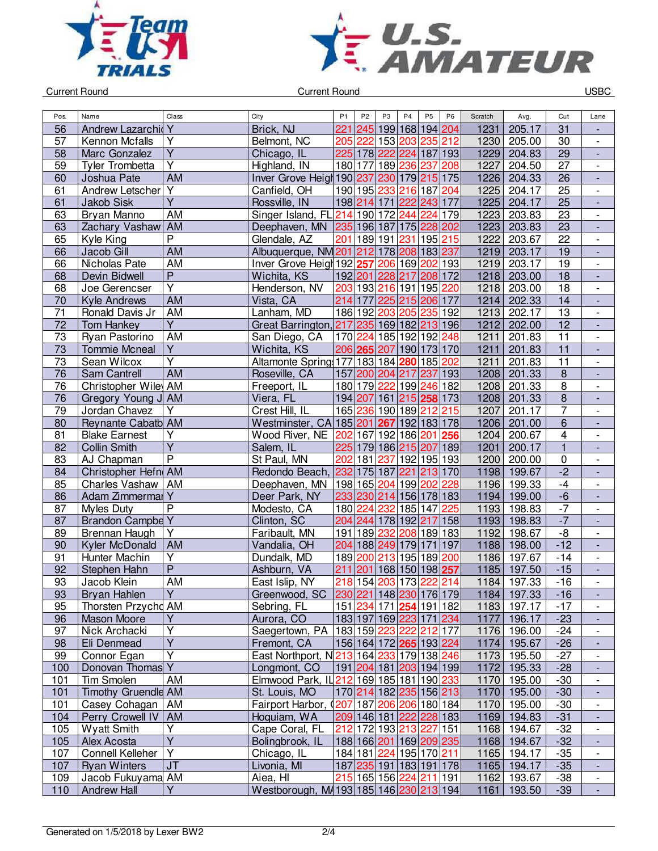



| 56<br>Andrew Lazarchid Y<br>Brick, NJ<br> 245 <br>199 168 194 204<br>1231<br>205.17<br>31<br>221<br>57<br>Y<br>153 203<br>235 212<br>1230<br>30<br>Kennon Mcfalls<br>Belmont, NC<br>205 222<br>205.00<br>$\overline{\phantom{0}}$<br>$\overline{\mathsf{Y}}$<br>$\overline{29}$<br>225 178 222<br>187 193<br>1229<br>58<br>Marc Gonzalez<br>224<br>204.83<br>Chicago, IL<br>$\frac{1}{2}$<br>$\overline{Y}$<br>189<br>236 237<br>$\overline{27}$<br>180 177<br>208<br>1227<br>59<br>Tyler Trombetta<br>Highland, IN<br>204.50<br>$\overline{\phantom{0}}$<br><b>AM</b><br>230 179 215 175<br>$\overline{26}$<br>Inver Grove Heigh 190 237<br>1226<br>60<br>Joshua Pate<br>204.33<br>$\Box$<br>Andrew Letscher Y<br>190 195 233<br>216 187 204<br>25<br>61<br>Canfield, OH<br>1225<br>204.17<br>$\blacksquare$<br>$\overline{Y}$<br>$\overline{25}$<br>61<br><b>Jakob Sisk</b><br>198 214 171 222 243 177<br>1225<br>Rossville, IN<br>204.17<br>$\blacksquare$<br>Singer Island, FL 214 190 172 244<br>63<br>AM<br>224<br>179<br>1223<br>23<br>Bryan Manno<br>203.83<br>$\overline{\phantom{0}}$<br><b>AM</b><br>235 196 187 175<br>228 202<br>1223<br>203.83<br>23<br>63<br>Zachary Vashaw<br>Deephaven, MN<br>$\frac{1}{2}$<br>$\overline{P}$<br>1222<br>$\overline{22}$<br>65<br>189 191<br>195<br>Kyle King<br>Glendale, AZ<br>231<br>215<br>203.67<br>201<br>$\frac{1}{2}$<br>Jacob Gill<br>AM<br>Albuquerque, NM 201 212 178 208 183 237<br>203.17<br>19<br>66<br>1219<br><b>AM</b><br>$\overline{19}$<br>66<br>206 169 202 193<br>Nicholas Pate<br>Inver Grove Heigh 192 257<br>1219<br>203.17<br>$\frac{1}{2}$<br>$\overline{P}$<br>$\overline{18}$<br>208 172<br>68<br>Devin Bidwell<br>Wichita, KS<br>192 201<br>228 217<br>1218<br>203.00<br>L,<br>$\overline{Y}$<br>203 193 216 191 195 220<br>1218<br>18<br>68<br>Henderson, NV<br>203.00<br>Joe Gerencser<br>$\overline{\phantom{0}}$<br><b>AM</b><br>214 177<br>$\overline{14}$<br>70<br>Vista, CA<br>225 215 206 177<br>1214<br>202.33<br><b>Kyle Andrews</b><br>$\overline{a}$<br>71<br>AM<br>205 235 192<br>13<br>186 192<br>1213<br>Ronald Davis Jr<br>Lanham, MD<br>203<br>202.17<br>$\overline{a}$<br>$\overline{Y}$<br>72<br>Great Barrington, 217<br>235 169 182 213 196<br>12<br>1212<br>202.00<br><b>Tom Hankey</b><br>$\overline{a}$<br>73<br>AM<br>170 224 185 192 192 248<br>Ryan Pastorino<br>San Diego, CA<br>1211<br>201.83<br>11<br>$\overline{\phantom{0}}$<br>$\overline{Y}$<br>$\overline{11}$<br>73<br>1211<br>Wichita, KS<br>206 265 207 190 173 170<br>201.83<br><b>Tommie Mcneal</b><br>$\qquad \qquad \blacksquare$<br>$\overline{\mathsf{Y}}$<br>$\overline{11}$<br>73<br>Altamonte Spring 177 183 184 280 185<br>1211<br>Sean Wilcox<br>202<br>201.83<br>$\overline{\phantom{0}}$<br>$\overline{8}$<br>76<br>AM<br>1208<br>Sam Cantrell<br>Roseville, CA<br>157 200 204 217<br>237 193<br>201.33<br>$\overline{\phantom{a}}$<br>$\overline{8}$<br>76<br>Christopher Wiley AM<br>199 246 182<br>1208<br>Freeport, IL<br>180 179 222<br>201.33<br>$\overline{\phantom{0}}$<br>$\overline{8}$<br>215 258 173<br>1208<br>76<br>Gregory Young J AM<br>Viera, FL<br>194 207 161<br>201.33<br>$\overline{a}$<br>$\overline{7}$<br>79<br>Y<br>165 236 190 189 212 215<br>Jordan Chavez<br>Crest Hill, IL<br>1207<br>201.17<br>$\blacksquare$<br>6<br>Westminster, CA 185 201 267 192 183 178<br>1206<br>80<br>Reynante Cabatb AM<br>201.00<br>$\blacksquare$<br>$\overline{Y}$<br>4<br>81<br>167 192 186 201<br>256<br>200.67<br><b>Blake Earnest</b><br>Wood River, NE<br>202<br>1204<br>$\frac{1}{2}$<br>$\overline{Y}$<br>$\overline{1}$<br>225 179 186 215 207 189<br>82<br><b>Collin Smith</b><br>Salem, IL<br>1201<br>200.17<br>$\frac{1}{2}$<br>$\overline{P}$<br>St Paul, MN<br>202<br>181<br>237<br>192 195 193<br>1200<br>$\pmb{0}$<br>83<br>AJ Chapman<br>200.00<br>$\overline{\phantom{0}}$<br>$-2$<br>232 175 187<br>221<br>213 170<br>1198<br>84<br>Christopher Hefn AM<br>Redondo Beach,<br>199.67<br>$\overline{\phantom{a}}$<br>$-4$<br>85<br>198 165 204 199 202<br>1196<br>Charles Vashaw<br>AM<br>Deephaven, MN<br>228<br>199.33<br>$\overline{\phantom{0}}$<br>$-6$<br>Adam Zimmermal Y<br>233 230 214<br>86<br>Deer Park, NY<br>156 178 183<br>1194<br>199.00<br>$\overline{a}$<br>$\overline{\mathsf{P}}$<br>$-7$<br>87<br>180 224<br>232<br>185 147<br>225<br>1193<br>198.83<br><b>Myles Duty</b><br>Modesto, CA<br>$\overline{\phantom{0}}$<br>$-7$<br><b>Brandon Campbe Y</b><br>Clinton, SC<br>204 244<br>192 217 158<br>1193<br>198.83<br>87<br>178<br>$\qquad \qquad \blacksquare$<br>$\overline{Y}$<br>$-\frac{1}{\alpha}$<br>191 189<br>232<br>208 189 183<br>1192<br>89<br><b>Brennan Haugh</b><br>Faribault, MN<br>198.67<br>$\blacksquare$<br>$-12$<br>AM<br>204 188 249 179 171 197<br>1188<br>198.00<br>90<br>Kyler McDonald<br>Vandalia, OH<br>$\Box$<br>$\overline{Y}$<br>189 200<br>195 189 200<br>197.67<br>$-14$<br>91<br>Hunter Machin<br>Dundalk, MD<br>213<br>1186<br>$\overline{\phantom{a}}$<br>$\overline{\mathsf{P}}$<br>$\overline{211}$<br>92<br>168 150 198 257<br>1185<br>Stephen Hahn<br>Ashburn, VA<br>201<br>197.50<br>$-15$<br>$\overline{\phantom{a}}$<br>218 154<br>203 173<br>93<br>AM<br>222 214<br>Jacob Klein<br>East Islip, NY<br>1184<br>197.33<br>$-16$<br>93<br>Bryan Hahlen<br>Greenwood, SC   230   221   148   230   176   179  <br>1184   197.33<br>-16<br>٠<br>95<br>151 234 171 254 191 182<br>$-17$<br>Thorsten Przychd AM<br>Sebring, FL<br>1183 197.17<br>Y<br>96<br>Mason Moore<br>Aurora, CO<br>183 197 169 223 171 234<br>1177 196.17<br>$-23$<br>$\overline{a}$<br>Y<br>183 159 223 222 212 177<br>Saegertown, PA<br>$-24$<br>97<br>Nick Archacki<br>1176 196.00<br>$\overline{\phantom{0}}$<br>$\overline{Y}$<br>156 164 172 265 193 224<br>195.67<br>$-26$<br>98<br>Eli Denmead<br>Fremont, CA<br>1174<br>$\overline{Y}$<br>East Northport, N213 164 233 179 138 246<br>$-27$<br>Connor Egan<br>1173 195.50<br>99<br>$\blacksquare$<br>Donovan Thomas Y<br>191 204 181 203 194 199<br>100<br>Longmont, CO<br>1172 195.33<br>$-28$<br>$\overline{\phantom{a}}$<br>Elmwood Park, IL 212 169 185 181 190 233<br>Tim Smolen<br>AM<br>1170 195.00<br>$-30$<br>101<br>$\overline{a}$<br><b>Timothy Gruendle AM</b><br>St. Louis, MO<br>170 214 182 235 156 213<br>1170 195.00<br>$-30$<br>101<br>$\overline{\phantom{a}}$<br>Casey Cohagan<br>Fairport Harbor, $\left(\frac{207}{187}, \frac{206}{206}, \frac{180}{184}\right)$<br>1170 195.00<br>101<br>AM<br>$-30$<br>$\overline{\phantom{0}}$<br>209 146 181 222 228 183<br>$-31$<br>104<br>Perry Crowell IV<br>AM<br>Hoquiam, WA<br>1169 194.83<br>۰<br>Y<br>105<br><b>Wyatt Smith</b><br>Cape Coral, FL<br>212 172 193 213 227 151<br>$-32$<br>1168 194.67<br>$\qquad \qquad -$<br>$\overline{Y}$<br>Bolingbrook, IL<br>188 166 201 169 209 235<br>$-32$<br>105<br>Alex Acosta<br>1168 194.67<br>$\overline{\phantom{a}}$<br>Y<br>Connell Kelleher<br>184 181 224 195 170 211<br>$-35$<br>107<br>Chicago, IL<br>1165 194.17<br>$\overline{\phantom{0}}$<br><b>Ryan Winters</b><br><b>JT</b><br>Livonia, MI<br>187 235 191 183 191 178<br>1165 194.17<br>$-35$<br>107<br>215 165 156 224 211 191<br>Aiea, HI<br>1162 193.67<br>$-38$<br>109<br>Jacob Fukuyama AM<br>$\overline{\phantom{0}}$<br>Y<br>Westborough, M4193 185 146 230 213 194<br>110<br><b>Andrew Hall</b><br>1161 193.50<br>$-39$<br>÷, | Pos. | Name | Class | City | P <sub>1</sub> | P <sub>2</sub> | P3 | P4 | <b>P5</b> | P <sub>6</sub> | Scratch | Avg. | Cut | Lane |
|------------------------------------------------------------------------------------------------------------------------------------------------------------------------------------------------------------------------------------------------------------------------------------------------------------------------------------------------------------------------------------------------------------------------------------------------------------------------------------------------------------------------------------------------------------------------------------------------------------------------------------------------------------------------------------------------------------------------------------------------------------------------------------------------------------------------------------------------------------------------------------------------------------------------------------------------------------------------------------------------------------------------------------------------------------------------------------------------------------------------------------------------------------------------------------------------------------------------------------------------------------------------------------------------------------------------------------------------------------------------------------------------------------------------------------------------------------------------------------------------------------------------------------------------------------------------------------------------------------------------------------------------------------------------------------------------------------------------------------------------------------------------------------------------------------------------------------------------------------------------------------------------------------------------------------------------------------------------------------------------------------------------------------------------------------------------------------------------------------------------------------------------------------------------------------------------------------------------------------------------------------------------------------------------------------------------------------------------------------------------------------------------------------------------------------------------------------------------------------------------------------------------------------------------------------------------------------------------------------------------------------------------------------------------------------------------------------------------------------------------------------------------------------------------------------------------------------------------------------------------------------------------------------------------------------------------------------------------------------------------------------------------------------------------------------------------------------------------------------------------------------------------------------------------------------------------------------------------------------------------------------------------------------------------------------------------------------------------------------------------------------------------------------------------------------------------------------------------------------------------------------------------------------------------------------------------------------------------------------------------------------------------------------------------------------------------------------------------------------------------------------------------------------------------------------------------------------------------------------------------------------------------------------------------------------------------------------------------------------------------------------------------------------------------------------------------------------------------------------------------------------------------------------------------------------------------------------------------------------------------------------------------------------------------------------------------------------------------------------------------------------------------------------------------------------------------------------------------------------------------------------------------------------------------------------------------------------------------------------------------------------------------------------------------------------------------------------------------------------------------------------------------------------------------------------------------------------------------------------------------------------------------------------------------------------------------------------------------------------------------------------------------------------------------------------------------------------------------------------------------------------------------------------------------------------------------------------------------------------------------------------------------------------------------------------------------------------------------------------------------------------------------------------------------------------------------------------------------------------------------------------------------------------------------------------------------------------------------------------------------------------------------------------------------------------------------------------------------------------------------------------------------------------------------------------------------------------------------------------------------------------------------------------------------------------------------------------------------------------------------------------------------------------------------------------------------------------------------------------------------------------------------------------------------------------------------------------------------------------------------------------------------------------------------------------------------------------------------------------------------------------------------------------------------------------------------------------------------------------------------------------------------------------------------------------------------------------------------------------------------------------------------------------------------------------------------------------------------------------------------------------------------------------------------------------------------------------------------------------------------------------------------------------------------------------------------------------------------------------------------------------------------------------------------------------------------------------------------------------------------------------------------------------------------------------------------------------------------------------------------------------------------------------------------------------------------------------------------------------------------------------------------------------------------|------|------|-------|------|----------------|----------------|----|----|-----------|----------------|---------|------|-----|------|
|                                                                                                                                                                                                                                                                                                                                                                                                                                                                                                                                                                                                                                                                                                                                                                                                                                                                                                                                                                                                                                                                                                                                                                                                                                                                                                                                                                                                                                                                                                                                                                                                                                                                                                                                                                                                                                                                                                                                                                                                                                                                                                                                                                                                                                                                                                                                                                                                                                                                                                                                                                                                                                                                                                                                                                                                                                                                                                                                                                                                                                                                                                                                                                                                                                                                                                                                                                                                                                                                                                                                                                                                                                                                                                                                                                                                                                                                                                                                                                                                                                                                                                                                                                                                                                                                                                                                                                                                                                                                                                                                                                                                                                                                                                                                                                                                                                                                                                                                                                                                                                                                                                                                                                                                                                                                                                                                                                                                                                                                                                                                                                                                                                                                                                                                                                                                                                                                                                                                                                                                                                                                                                                                                                                                                                                                                                                                                                                                                                                                                                                                                                                                                                                                                                                                                                                                                                                                                                                                                                                                                                                                                                                                                                                                                                                                                                                                                                                                                        |      |      |       |      |                |                |    |    |           |                |         |      |     |      |
|                                                                                                                                                                                                                                                                                                                                                                                                                                                                                                                                                                                                                                                                                                                                                                                                                                                                                                                                                                                                                                                                                                                                                                                                                                                                                                                                                                                                                                                                                                                                                                                                                                                                                                                                                                                                                                                                                                                                                                                                                                                                                                                                                                                                                                                                                                                                                                                                                                                                                                                                                                                                                                                                                                                                                                                                                                                                                                                                                                                                                                                                                                                                                                                                                                                                                                                                                                                                                                                                                                                                                                                                                                                                                                                                                                                                                                                                                                                                                                                                                                                                                                                                                                                                                                                                                                                                                                                                                                                                                                                                                                                                                                                                                                                                                                                                                                                                                                                                                                                                                                                                                                                                                                                                                                                                                                                                                                                                                                                                                                                                                                                                                                                                                                                                                                                                                                                                                                                                                                                                                                                                                                                                                                                                                                                                                                                                                                                                                                                                                                                                                                                                                                                                                                                                                                                                                                                                                                                                                                                                                                                                                                                                                                                                                                                                                                                                                                                                                        |      |      |       |      |                |                |    |    |           |                |         |      |     |      |
|                                                                                                                                                                                                                                                                                                                                                                                                                                                                                                                                                                                                                                                                                                                                                                                                                                                                                                                                                                                                                                                                                                                                                                                                                                                                                                                                                                                                                                                                                                                                                                                                                                                                                                                                                                                                                                                                                                                                                                                                                                                                                                                                                                                                                                                                                                                                                                                                                                                                                                                                                                                                                                                                                                                                                                                                                                                                                                                                                                                                                                                                                                                                                                                                                                                                                                                                                                                                                                                                                                                                                                                                                                                                                                                                                                                                                                                                                                                                                                                                                                                                                                                                                                                                                                                                                                                                                                                                                                                                                                                                                                                                                                                                                                                                                                                                                                                                                                                                                                                                                                                                                                                                                                                                                                                                                                                                                                                                                                                                                                                                                                                                                                                                                                                                                                                                                                                                                                                                                                                                                                                                                                                                                                                                                                                                                                                                                                                                                                                                                                                                                                                                                                                                                                                                                                                                                                                                                                                                                                                                                                                                                                                                                                                                                                                                                                                                                                                                                        |      |      |       |      |                |                |    |    |           |                |         |      |     |      |
|                                                                                                                                                                                                                                                                                                                                                                                                                                                                                                                                                                                                                                                                                                                                                                                                                                                                                                                                                                                                                                                                                                                                                                                                                                                                                                                                                                                                                                                                                                                                                                                                                                                                                                                                                                                                                                                                                                                                                                                                                                                                                                                                                                                                                                                                                                                                                                                                                                                                                                                                                                                                                                                                                                                                                                                                                                                                                                                                                                                                                                                                                                                                                                                                                                                                                                                                                                                                                                                                                                                                                                                                                                                                                                                                                                                                                                                                                                                                                                                                                                                                                                                                                                                                                                                                                                                                                                                                                                                                                                                                                                                                                                                                                                                                                                                                                                                                                                                                                                                                                                                                                                                                                                                                                                                                                                                                                                                                                                                                                                                                                                                                                                                                                                                                                                                                                                                                                                                                                                                                                                                                                                                                                                                                                                                                                                                                                                                                                                                                                                                                                                                                                                                                                                                                                                                                                                                                                                                                                                                                                                                                                                                                                                                                                                                                                                                                                                                                                        |      |      |       |      |                |                |    |    |           |                |         |      |     |      |
|                                                                                                                                                                                                                                                                                                                                                                                                                                                                                                                                                                                                                                                                                                                                                                                                                                                                                                                                                                                                                                                                                                                                                                                                                                                                                                                                                                                                                                                                                                                                                                                                                                                                                                                                                                                                                                                                                                                                                                                                                                                                                                                                                                                                                                                                                                                                                                                                                                                                                                                                                                                                                                                                                                                                                                                                                                                                                                                                                                                                                                                                                                                                                                                                                                                                                                                                                                                                                                                                                                                                                                                                                                                                                                                                                                                                                                                                                                                                                                                                                                                                                                                                                                                                                                                                                                                                                                                                                                                                                                                                                                                                                                                                                                                                                                                                                                                                                                                                                                                                                                                                                                                                                                                                                                                                                                                                                                                                                                                                                                                                                                                                                                                                                                                                                                                                                                                                                                                                                                                                                                                                                                                                                                                                                                                                                                                                                                                                                                                                                                                                                                                                                                                                                                                                                                                                                                                                                                                                                                                                                                                                                                                                                                                                                                                                                                                                                                                                                        |      |      |       |      |                |                |    |    |           |                |         |      |     |      |
|                                                                                                                                                                                                                                                                                                                                                                                                                                                                                                                                                                                                                                                                                                                                                                                                                                                                                                                                                                                                                                                                                                                                                                                                                                                                                                                                                                                                                                                                                                                                                                                                                                                                                                                                                                                                                                                                                                                                                                                                                                                                                                                                                                                                                                                                                                                                                                                                                                                                                                                                                                                                                                                                                                                                                                                                                                                                                                                                                                                                                                                                                                                                                                                                                                                                                                                                                                                                                                                                                                                                                                                                                                                                                                                                                                                                                                                                                                                                                                                                                                                                                                                                                                                                                                                                                                                                                                                                                                                                                                                                                                                                                                                                                                                                                                                                                                                                                                                                                                                                                                                                                                                                                                                                                                                                                                                                                                                                                                                                                                                                                                                                                                                                                                                                                                                                                                                                                                                                                                                                                                                                                                                                                                                                                                                                                                                                                                                                                                                                                                                                                                                                                                                                                                                                                                                                                                                                                                                                                                                                                                                                                                                                                                                                                                                                                                                                                                                                                        |      |      |       |      |                |                |    |    |           |                |         |      |     |      |
|                                                                                                                                                                                                                                                                                                                                                                                                                                                                                                                                                                                                                                                                                                                                                                                                                                                                                                                                                                                                                                                                                                                                                                                                                                                                                                                                                                                                                                                                                                                                                                                                                                                                                                                                                                                                                                                                                                                                                                                                                                                                                                                                                                                                                                                                                                                                                                                                                                                                                                                                                                                                                                                                                                                                                                                                                                                                                                                                                                                                                                                                                                                                                                                                                                                                                                                                                                                                                                                                                                                                                                                                                                                                                                                                                                                                                                                                                                                                                                                                                                                                                                                                                                                                                                                                                                                                                                                                                                                                                                                                                                                                                                                                                                                                                                                                                                                                                                                                                                                                                                                                                                                                                                                                                                                                                                                                                                                                                                                                                                                                                                                                                                                                                                                                                                                                                                                                                                                                                                                                                                                                                                                                                                                                                                                                                                                                                                                                                                                                                                                                                                                                                                                                                                                                                                                                                                                                                                                                                                                                                                                                                                                                                                                                                                                                                                                                                                                                                        |      |      |       |      |                |                |    |    |           |                |         |      |     |      |
|                                                                                                                                                                                                                                                                                                                                                                                                                                                                                                                                                                                                                                                                                                                                                                                                                                                                                                                                                                                                                                                                                                                                                                                                                                                                                                                                                                                                                                                                                                                                                                                                                                                                                                                                                                                                                                                                                                                                                                                                                                                                                                                                                                                                                                                                                                                                                                                                                                                                                                                                                                                                                                                                                                                                                                                                                                                                                                                                                                                                                                                                                                                                                                                                                                                                                                                                                                                                                                                                                                                                                                                                                                                                                                                                                                                                                                                                                                                                                                                                                                                                                                                                                                                                                                                                                                                                                                                                                                                                                                                                                                                                                                                                                                                                                                                                                                                                                                                                                                                                                                                                                                                                                                                                                                                                                                                                                                                                                                                                                                                                                                                                                                                                                                                                                                                                                                                                                                                                                                                                                                                                                                                                                                                                                                                                                                                                                                                                                                                                                                                                                                                                                                                                                                                                                                                                                                                                                                                                                                                                                                                                                                                                                                                                                                                                                                                                                                                                                        |      |      |       |      |                |                |    |    |           |                |         |      |     |      |
|                                                                                                                                                                                                                                                                                                                                                                                                                                                                                                                                                                                                                                                                                                                                                                                                                                                                                                                                                                                                                                                                                                                                                                                                                                                                                                                                                                                                                                                                                                                                                                                                                                                                                                                                                                                                                                                                                                                                                                                                                                                                                                                                                                                                                                                                                                                                                                                                                                                                                                                                                                                                                                                                                                                                                                                                                                                                                                                                                                                                                                                                                                                                                                                                                                                                                                                                                                                                                                                                                                                                                                                                                                                                                                                                                                                                                                                                                                                                                                                                                                                                                                                                                                                                                                                                                                                                                                                                                                                                                                                                                                                                                                                                                                                                                                                                                                                                                                                                                                                                                                                                                                                                                                                                                                                                                                                                                                                                                                                                                                                                                                                                                                                                                                                                                                                                                                                                                                                                                                                                                                                                                                                                                                                                                                                                                                                                                                                                                                                                                                                                                                                                                                                                                                                                                                                                                                                                                                                                                                                                                                                                                                                                                                                                                                                                                                                                                                                                                        |      |      |       |      |                |                |    |    |           |                |         |      |     |      |
|                                                                                                                                                                                                                                                                                                                                                                                                                                                                                                                                                                                                                                                                                                                                                                                                                                                                                                                                                                                                                                                                                                                                                                                                                                                                                                                                                                                                                                                                                                                                                                                                                                                                                                                                                                                                                                                                                                                                                                                                                                                                                                                                                                                                                                                                                                                                                                                                                                                                                                                                                                                                                                                                                                                                                                                                                                                                                                                                                                                                                                                                                                                                                                                                                                                                                                                                                                                                                                                                                                                                                                                                                                                                                                                                                                                                                                                                                                                                                                                                                                                                                                                                                                                                                                                                                                                                                                                                                                                                                                                                                                                                                                                                                                                                                                                                                                                                                                                                                                                                                                                                                                                                                                                                                                                                                                                                                                                                                                                                                                                                                                                                                                                                                                                                                                                                                                                                                                                                                                                                                                                                                                                                                                                                                                                                                                                                                                                                                                                                                                                                                                                                                                                                                                                                                                                                                                                                                                                                                                                                                                                                                                                                                                                                                                                                                                                                                                                                                        |      |      |       |      |                |                |    |    |           |                |         |      |     |      |
|                                                                                                                                                                                                                                                                                                                                                                                                                                                                                                                                                                                                                                                                                                                                                                                                                                                                                                                                                                                                                                                                                                                                                                                                                                                                                                                                                                                                                                                                                                                                                                                                                                                                                                                                                                                                                                                                                                                                                                                                                                                                                                                                                                                                                                                                                                                                                                                                                                                                                                                                                                                                                                                                                                                                                                                                                                                                                                                                                                                                                                                                                                                                                                                                                                                                                                                                                                                                                                                                                                                                                                                                                                                                                                                                                                                                                                                                                                                                                                                                                                                                                                                                                                                                                                                                                                                                                                                                                                                                                                                                                                                                                                                                                                                                                                                                                                                                                                                                                                                                                                                                                                                                                                                                                                                                                                                                                                                                                                                                                                                                                                                                                                                                                                                                                                                                                                                                                                                                                                                                                                                                                                                                                                                                                                                                                                                                                                                                                                                                                                                                                                                                                                                                                                                                                                                                                                                                                                                                                                                                                                                                                                                                                                                                                                                                                                                                                                                                                        |      |      |       |      |                |                |    |    |           |                |         |      |     |      |
|                                                                                                                                                                                                                                                                                                                                                                                                                                                                                                                                                                                                                                                                                                                                                                                                                                                                                                                                                                                                                                                                                                                                                                                                                                                                                                                                                                                                                                                                                                                                                                                                                                                                                                                                                                                                                                                                                                                                                                                                                                                                                                                                                                                                                                                                                                                                                                                                                                                                                                                                                                                                                                                                                                                                                                                                                                                                                                                                                                                                                                                                                                                                                                                                                                                                                                                                                                                                                                                                                                                                                                                                                                                                                                                                                                                                                                                                                                                                                                                                                                                                                                                                                                                                                                                                                                                                                                                                                                                                                                                                                                                                                                                                                                                                                                                                                                                                                                                                                                                                                                                                                                                                                                                                                                                                                                                                                                                                                                                                                                                                                                                                                                                                                                                                                                                                                                                                                                                                                                                                                                                                                                                                                                                                                                                                                                                                                                                                                                                                                                                                                                                                                                                                                                                                                                                                                                                                                                                                                                                                                                                                                                                                                                                                                                                                                                                                                                                                                        |      |      |       |      |                |                |    |    |           |                |         |      |     |      |
|                                                                                                                                                                                                                                                                                                                                                                                                                                                                                                                                                                                                                                                                                                                                                                                                                                                                                                                                                                                                                                                                                                                                                                                                                                                                                                                                                                                                                                                                                                                                                                                                                                                                                                                                                                                                                                                                                                                                                                                                                                                                                                                                                                                                                                                                                                                                                                                                                                                                                                                                                                                                                                                                                                                                                                                                                                                                                                                                                                                                                                                                                                                                                                                                                                                                                                                                                                                                                                                                                                                                                                                                                                                                                                                                                                                                                                                                                                                                                                                                                                                                                                                                                                                                                                                                                                                                                                                                                                                                                                                                                                                                                                                                                                                                                                                                                                                                                                                                                                                                                                                                                                                                                                                                                                                                                                                                                                                                                                                                                                                                                                                                                                                                                                                                                                                                                                                                                                                                                                                                                                                                                                                                                                                                                                                                                                                                                                                                                                                                                                                                                                                                                                                                                                                                                                                                                                                                                                                                                                                                                                                                                                                                                                                                                                                                                                                                                                                                                        |      |      |       |      |                |                |    |    |           |                |         |      |     |      |
|                                                                                                                                                                                                                                                                                                                                                                                                                                                                                                                                                                                                                                                                                                                                                                                                                                                                                                                                                                                                                                                                                                                                                                                                                                                                                                                                                                                                                                                                                                                                                                                                                                                                                                                                                                                                                                                                                                                                                                                                                                                                                                                                                                                                                                                                                                                                                                                                                                                                                                                                                                                                                                                                                                                                                                                                                                                                                                                                                                                                                                                                                                                                                                                                                                                                                                                                                                                                                                                                                                                                                                                                                                                                                                                                                                                                                                                                                                                                                                                                                                                                                                                                                                                                                                                                                                                                                                                                                                                                                                                                                                                                                                                                                                                                                                                                                                                                                                                                                                                                                                                                                                                                                                                                                                                                                                                                                                                                                                                                                                                                                                                                                                                                                                                                                                                                                                                                                                                                                                                                                                                                                                                                                                                                                                                                                                                                                                                                                                                                                                                                                                                                                                                                                                                                                                                                                                                                                                                                                                                                                                                                                                                                                                                                                                                                                                                                                                                                                        |      |      |       |      |                |                |    |    |           |                |         |      |     |      |
|                                                                                                                                                                                                                                                                                                                                                                                                                                                                                                                                                                                                                                                                                                                                                                                                                                                                                                                                                                                                                                                                                                                                                                                                                                                                                                                                                                                                                                                                                                                                                                                                                                                                                                                                                                                                                                                                                                                                                                                                                                                                                                                                                                                                                                                                                                                                                                                                                                                                                                                                                                                                                                                                                                                                                                                                                                                                                                                                                                                                                                                                                                                                                                                                                                                                                                                                                                                                                                                                                                                                                                                                                                                                                                                                                                                                                                                                                                                                                                                                                                                                                                                                                                                                                                                                                                                                                                                                                                                                                                                                                                                                                                                                                                                                                                                                                                                                                                                                                                                                                                                                                                                                                                                                                                                                                                                                                                                                                                                                                                                                                                                                                                                                                                                                                                                                                                                                                                                                                                                                                                                                                                                                                                                                                                                                                                                                                                                                                                                                                                                                                                                                                                                                                                                                                                                                                                                                                                                                                                                                                                                                                                                                                                                                                                                                                                                                                                                                                        |      |      |       |      |                |                |    |    |           |                |         |      |     |      |
|                                                                                                                                                                                                                                                                                                                                                                                                                                                                                                                                                                                                                                                                                                                                                                                                                                                                                                                                                                                                                                                                                                                                                                                                                                                                                                                                                                                                                                                                                                                                                                                                                                                                                                                                                                                                                                                                                                                                                                                                                                                                                                                                                                                                                                                                                                                                                                                                                                                                                                                                                                                                                                                                                                                                                                                                                                                                                                                                                                                                                                                                                                                                                                                                                                                                                                                                                                                                                                                                                                                                                                                                                                                                                                                                                                                                                                                                                                                                                                                                                                                                                                                                                                                                                                                                                                                                                                                                                                                                                                                                                                                                                                                                                                                                                                                                                                                                                                                                                                                                                                                                                                                                                                                                                                                                                                                                                                                                                                                                                                                                                                                                                                                                                                                                                                                                                                                                                                                                                                                                                                                                                                                                                                                                                                                                                                                                                                                                                                                                                                                                                                                                                                                                                                                                                                                                                                                                                                                                                                                                                                                                                                                                                                                                                                                                                                                                                                                                                        |      |      |       |      |                |                |    |    |           |                |         |      |     |      |
|                                                                                                                                                                                                                                                                                                                                                                                                                                                                                                                                                                                                                                                                                                                                                                                                                                                                                                                                                                                                                                                                                                                                                                                                                                                                                                                                                                                                                                                                                                                                                                                                                                                                                                                                                                                                                                                                                                                                                                                                                                                                                                                                                                                                                                                                                                                                                                                                                                                                                                                                                                                                                                                                                                                                                                                                                                                                                                                                                                                                                                                                                                                                                                                                                                                                                                                                                                                                                                                                                                                                                                                                                                                                                                                                                                                                                                                                                                                                                                                                                                                                                                                                                                                                                                                                                                                                                                                                                                                                                                                                                                                                                                                                                                                                                                                                                                                                                                                                                                                                                                                                                                                                                                                                                                                                                                                                                                                                                                                                                                                                                                                                                                                                                                                                                                                                                                                                                                                                                                                                                                                                                                                                                                                                                                                                                                                                                                                                                                                                                                                                                                                                                                                                                                                                                                                                                                                                                                                                                                                                                                                                                                                                                                                                                                                                                                                                                                                                                        |      |      |       |      |                |                |    |    |           |                |         |      |     |      |
|                                                                                                                                                                                                                                                                                                                                                                                                                                                                                                                                                                                                                                                                                                                                                                                                                                                                                                                                                                                                                                                                                                                                                                                                                                                                                                                                                                                                                                                                                                                                                                                                                                                                                                                                                                                                                                                                                                                                                                                                                                                                                                                                                                                                                                                                                                                                                                                                                                                                                                                                                                                                                                                                                                                                                                                                                                                                                                                                                                                                                                                                                                                                                                                                                                                                                                                                                                                                                                                                                                                                                                                                                                                                                                                                                                                                                                                                                                                                                                                                                                                                                                                                                                                                                                                                                                                                                                                                                                                                                                                                                                                                                                                                                                                                                                                                                                                                                                                                                                                                                                                                                                                                                                                                                                                                                                                                                                                                                                                                                                                                                                                                                                                                                                                                                                                                                                                                                                                                                                                                                                                                                                                                                                                                                                                                                                                                                                                                                                                                                                                                                                                                                                                                                                                                                                                                                                                                                                                                                                                                                                                                                                                                                                                                                                                                                                                                                                                                                        |      |      |       |      |                |                |    |    |           |                |         |      |     |      |
|                                                                                                                                                                                                                                                                                                                                                                                                                                                                                                                                                                                                                                                                                                                                                                                                                                                                                                                                                                                                                                                                                                                                                                                                                                                                                                                                                                                                                                                                                                                                                                                                                                                                                                                                                                                                                                                                                                                                                                                                                                                                                                                                                                                                                                                                                                                                                                                                                                                                                                                                                                                                                                                                                                                                                                                                                                                                                                                                                                                                                                                                                                                                                                                                                                                                                                                                                                                                                                                                                                                                                                                                                                                                                                                                                                                                                                                                                                                                                                                                                                                                                                                                                                                                                                                                                                                                                                                                                                                                                                                                                                                                                                                                                                                                                                                                                                                                                                                                                                                                                                                                                                                                                                                                                                                                                                                                                                                                                                                                                                                                                                                                                                                                                                                                                                                                                                                                                                                                                                                                                                                                                                                                                                                                                                                                                                                                                                                                                                                                                                                                                                                                                                                                                                                                                                                                                                                                                                                                                                                                                                                                                                                                                                                                                                                                                                                                                                                                                        |      |      |       |      |                |                |    |    |           |                |         |      |     |      |
|                                                                                                                                                                                                                                                                                                                                                                                                                                                                                                                                                                                                                                                                                                                                                                                                                                                                                                                                                                                                                                                                                                                                                                                                                                                                                                                                                                                                                                                                                                                                                                                                                                                                                                                                                                                                                                                                                                                                                                                                                                                                                                                                                                                                                                                                                                                                                                                                                                                                                                                                                                                                                                                                                                                                                                                                                                                                                                                                                                                                                                                                                                                                                                                                                                                                                                                                                                                                                                                                                                                                                                                                                                                                                                                                                                                                                                                                                                                                                                                                                                                                                                                                                                                                                                                                                                                                                                                                                                                                                                                                                                                                                                                                                                                                                                                                                                                                                                                                                                                                                                                                                                                                                                                                                                                                                                                                                                                                                                                                                                                                                                                                                                                                                                                                                                                                                                                                                                                                                                                                                                                                                                                                                                                                                                                                                                                                                                                                                                                                                                                                                                                                                                                                                                                                                                                                                                                                                                                                                                                                                                                                                                                                                                                                                                                                                                                                                                                                                        |      |      |       |      |                |                |    |    |           |                |         |      |     |      |
|                                                                                                                                                                                                                                                                                                                                                                                                                                                                                                                                                                                                                                                                                                                                                                                                                                                                                                                                                                                                                                                                                                                                                                                                                                                                                                                                                                                                                                                                                                                                                                                                                                                                                                                                                                                                                                                                                                                                                                                                                                                                                                                                                                                                                                                                                                                                                                                                                                                                                                                                                                                                                                                                                                                                                                                                                                                                                                                                                                                                                                                                                                                                                                                                                                                                                                                                                                                                                                                                                                                                                                                                                                                                                                                                                                                                                                                                                                                                                                                                                                                                                                                                                                                                                                                                                                                                                                                                                                                                                                                                                                                                                                                                                                                                                                                                                                                                                                                                                                                                                                                                                                                                                                                                                                                                                                                                                                                                                                                                                                                                                                                                                                                                                                                                                                                                                                                                                                                                                                                                                                                                                                                                                                                                                                                                                                                                                                                                                                                                                                                                                                                                                                                                                                                                                                                                                                                                                                                                                                                                                                                                                                                                                                                                                                                                                                                                                                                                                        |      |      |       |      |                |                |    |    |           |                |         |      |     |      |
|                                                                                                                                                                                                                                                                                                                                                                                                                                                                                                                                                                                                                                                                                                                                                                                                                                                                                                                                                                                                                                                                                                                                                                                                                                                                                                                                                                                                                                                                                                                                                                                                                                                                                                                                                                                                                                                                                                                                                                                                                                                                                                                                                                                                                                                                                                                                                                                                                                                                                                                                                                                                                                                                                                                                                                                                                                                                                                                                                                                                                                                                                                                                                                                                                                                                                                                                                                                                                                                                                                                                                                                                                                                                                                                                                                                                                                                                                                                                                                                                                                                                                                                                                                                                                                                                                                                                                                                                                                                                                                                                                                                                                                                                                                                                                                                                                                                                                                                                                                                                                                                                                                                                                                                                                                                                                                                                                                                                                                                                                                                                                                                                                                                                                                                                                                                                                                                                                                                                                                                                                                                                                                                                                                                                                                                                                                                                                                                                                                                                                                                                                                                                                                                                                                                                                                                                                                                                                                                                                                                                                                                                                                                                                                                                                                                                                                                                                                                                                        |      |      |       |      |                |                |    |    |           |                |         |      |     |      |
|                                                                                                                                                                                                                                                                                                                                                                                                                                                                                                                                                                                                                                                                                                                                                                                                                                                                                                                                                                                                                                                                                                                                                                                                                                                                                                                                                                                                                                                                                                                                                                                                                                                                                                                                                                                                                                                                                                                                                                                                                                                                                                                                                                                                                                                                                                                                                                                                                                                                                                                                                                                                                                                                                                                                                                                                                                                                                                                                                                                                                                                                                                                                                                                                                                                                                                                                                                                                                                                                                                                                                                                                                                                                                                                                                                                                                                                                                                                                                                                                                                                                                                                                                                                                                                                                                                                                                                                                                                                                                                                                                                                                                                                                                                                                                                                                                                                                                                                                                                                                                                                                                                                                                                                                                                                                                                                                                                                                                                                                                                                                                                                                                                                                                                                                                                                                                                                                                                                                                                                                                                                                                                                                                                                                                                                                                                                                                                                                                                                                                                                                                                                                                                                                                                                                                                                                                                                                                                                                                                                                                                                                                                                                                                                                                                                                                                                                                                                                                        |      |      |       |      |                |                |    |    |           |                |         |      |     |      |
|                                                                                                                                                                                                                                                                                                                                                                                                                                                                                                                                                                                                                                                                                                                                                                                                                                                                                                                                                                                                                                                                                                                                                                                                                                                                                                                                                                                                                                                                                                                                                                                                                                                                                                                                                                                                                                                                                                                                                                                                                                                                                                                                                                                                                                                                                                                                                                                                                                                                                                                                                                                                                                                                                                                                                                                                                                                                                                                                                                                                                                                                                                                                                                                                                                                                                                                                                                                                                                                                                                                                                                                                                                                                                                                                                                                                                                                                                                                                                                                                                                                                                                                                                                                                                                                                                                                                                                                                                                                                                                                                                                                                                                                                                                                                                                                                                                                                                                                                                                                                                                                                                                                                                                                                                                                                                                                                                                                                                                                                                                                                                                                                                                                                                                                                                                                                                                                                                                                                                                                                                                                                                                                                                                                                                                                                                                                                                                                                                                                                                                                                                                                                                                                                                                                                                                                                                                                                                                                                                                                                                                                                                                                                                                                                                                                                                                                                                                                                                        |      |      |       |      |                |                |    |    |           |                |         |      |     |      |
|                                                                                                                                                                                                                                                                                                                                                                                                                                                                                                                                                                                                                                                                                                                                                                                                                                                                                                                                                                                                                                                                                                                                                                                                                                                                                                                                                                                                                                                                                                                                                                                                                                                                                                                                                                                                                                                                                                                                                                                                                                                                                                                                                                                                                                                                                                                                                                                                                                                                                                                                                                                                                                                                                                                                                                                                                                                                                                                                                                                                                                                                                                                                                                                                                                                                                                                                                                                                                                                                                                                                                                                                                                                                                                                                                                                                                                                                                                                                                                                                                                                                                                                                                                                                                                                                                                                                                                                                                                                                                                                                                                                                                                                                                                                                                                                                                                                                                                                                                                                                                                                                                                                                                                                                                                                                                                                                                                                                                                                                                                                                                                                                                                                                                                                                                                                                                                                                                                                                                                                                                                                                                                                                                                                                                                                                                                                                                                                                                                                                                                                                                                                                                                                                                                                                                                                                                                                                                                                                                                                                                                                                                                                                                                                                                                                                                                                                                                                                                        |      |      |       |      |                |                |    |    |           |                |         |      |     |      |
|                                                                                                                                                                                                                                                                                                                                                                                                                                                                                                                                                                                                                                                                                                                                                                                                                                                                                                                                                                                                                                                                                                                                                                                                                                                                                                                                                                                                                                                                                                                                                                                                                                                                                                                                                                                                                                                                                                                                                                                                                                                                                                                                                                                                                                                                                                                                                                                                                                                                                                                                                                                                                                                                                                                                                                                                                                                                                                                                                                                                                                                                                                                                                                                                                                                                                                                                                                                                                                                                                                                                                                                                                                                                                                                                                                                                                                                                                                                                                                                                                                                                                                                                                                                                                                                                                                                                                                                                                                                                                                                                                                                                                                                                                                                                                                                                                                                                                                                                                                                                                                                                                                                                                                                                                                                                                                                                                                                                                                                                                                                                                                                                                                                                                                                                                                                                                                                                                                                                                                                                                                                                                                                                                                                                                                                                                                                                                                                                                                                                                                                                                                                                                                                                                                                                                                                                                                                                                                                                                                                                                                                                                                                                                                                                                                                                                                                                                                                                                        |      |      |       |      |                |                |    |    |           |                |         |      |     |      |
|                                                                                                                                                                                                                                                                                                                                                                                                                                                                                                                                                                                                                                                                                                                                                                                                                                                                                                                                                                                                                                                                                                                                                                                                                                                                                                                                                                                                                                                                                                                                                                                                                                                                                                                                                                                                                                                                                                                                                                                                                                                                                                                                                                                                                                                                                                                                                                                                                                                                                                                                                                                                                                                                                                                                                                                                                                                                                                                                                                                                                                                                                                                                                                                                                                                                                                                                                                                                                                                                                                                                                                                                                                                                                                                                                                                                                                                                                                                                                                                                                                                                                                                                                                                                                                                                                                                                                                                                                                                                                                                                                                                                                                                                                                                                                                                                                                                                                                                                                                                                                                                                                                                                                                                                                                                                                                                                                                                                                                                                                                                                                                                                                                                                                                                                                                                                                                                                                                                                                                                                                                                                                                                                                                                                                                                                                                                                                                                                                                                                                                                                                                                                                                                                                                                                                                                                                                                                                                                                                                                                                                                                                                                                                                                                                                                                                                                                                                                                                        |      |      |       |      |                |                |    |    |           |                |         |      |     |      |
|                                                                                                                                                                                                                                                                                                                                                                                                                                                                                                                                                                                                                                                                                                                                                                                                                                                                                                                                                                                                                                                                                                                                                                                                                                                                                                                                                                                                                                                                                                                                                                                                                                                                                                                                                                                                                                                                                                                                                                                                                                                                                                                                                                                                                                                                                                                                                                                                                                                                                                                                                                                                                                                                                                                                                                                                                                                                                                                                                                                                                                                                                                                                                                                                                                                                                                                                                                                                                                                                                                                                                                                                                                                                                                                                                                                                                                                                                                                                                                                                                                                                                                                                                                                                                                                                                                                                                                                                                                                                                                                                                                                                                                                                                                                                                                                                                                                                                                                                                                                                                                                                                                                                                                                                                                                                                                                                                                                                                                                                                                                                                                                                                                                                                                                                                                                                                                                                                                                                                                                                                                                                                                                                                                                                                                                                                                                                                                                                                                                                                                                                                                                                                                                                                                                                                                                                                                                                                                                                                                                                                                                                                                                                                                                                                                                                                                                                                                                                                        |      |      |       |      |                |                |    |    |           |                |         |      |     |      |
|                                                                                                                                                                                                                                                                                                                                                                                                                                                                                                                                                                                                                                                                                                                                                                                                                                                                                                                                                                                                                                                                                                                                                                                                                                                                                                                                                                                                                                                                                                                                                                                                                                                                                                                                                                                                                                                                                                                                                                                                                                                                                                                                                                                                                                                                                                                                                                                                                                                                                                                                                                                                                                                                                                                                                                                                                                                                                                                                                                                                                                                                                                                                                                                                                                                                                                                                                                                                                                                                                                                                                                                                                                                                                                                                                                                                                                                                                                                                                                                                                                                                                                                                                                                                                                                                                                                                                                                                                                                                                                                                                                                                                                                                                                                                                                                                                                                                                                                                                                                                                                                                                                                                                                                                                                                                                                                                                                                                                                                                                                                                                                                                                                                                                                                                                                                                                                                                                                                                                                                                                                                                                                                                                                                                                                                                                                                                                                                                                                                                                                                                                                                                                                                                                                                                                                                                                                                                                                                                                                                                                                                                                                                                                                                                                                                                                                                                                                                                                        |      |      |       |      |                |                |    |    |           |                |         |      |     |      |
|                                                                                                                                                                                                                                                                                                                                                                                                                                                                                                                                                                                                                                                                                                                                                                                                                                                                                                                                                                                                                                                                                                                                                                                                                                                                                                                                                                                                                                                                                                                                                                                                                                                                                                                                                                                                                                                                                                                                                                                                                                                                                                                                                                                                                                                                                                                                                                                                                                                                                                                                                                                                                                                                                                                                                                                                                                                                                                                                                                                                                                                                                                                                                                                                                                                                                                                                                                                                                                                                                                                                                                                                                                                                                                                                                                                                                                                                                                                                                                                                                                                                                                                                                                                                                                                                                                                                                                                                                                                                                                                                                                                                                                                                                                                                                                                                                                                                                                                                                                                                                                                                                                                                                                                                                                                                                                                                                                                                                                                                                                                                                                                                                                                                                                                                                                                                                                                                                                                                                                                                                                                                                                                                                                                                                                                                                                                                                                                                                                                                                                                                                                                                                                                                                                                                                                                                                                                                                                                                                                                                                                                                                                                                                                                                                                                                                                                                                                                                                        |      |      |       |      |                |                |    |    |           |                |         |      |     |      |
|                                                                                                                                                                                                                                                                                                                                                                                                                                                                                                                                                                                                                                                                                                                                                                                                                                                                                                                                                                                                                                                                                                                                                                                                                                                                                                                                                                                                                                                                                                                                                                                                                                                                                                                                                                                                                                                                                                                                                                                                                                                                                                                                                                                                                                                                                                                                                                                                                                                                                                                                                                                                                                                                                                                                                                                                                                                                                                                                                                                                                                                                                                                                                                                                                                                                                                                                                                                                                                                                                                                                                                                                                                                                                                                                                                                                                                                                                                                                                                                                                                                                                                                                                                                                                                                                                                                                                                                                                                                                                                                                                                                                                                                                                                                                                                                                                                                                                                                                                                                                                                                                                                                                                                                                                                                                                                                                                                                                                                                                                                                                                                                                                                                                                                                                                                                                                                                                                                                                                                                                                                                                                                                                                                                                                                                                                                                                                                                                                                                                                                                                                                                                                                                                                                                                                                                                                                                                                                                                                                                                                                                                                                                                                                                                                                                                                                                                                                                                                        |      |      |       |      |                |                |    |    |           |                |         |      |     |      |
|                                                                                                                                                                                                                                                                                                                                                                                                                                                                                                                                                                                                                                                                                                                                                                                                                                                                                                                                                                                                                                                                                                                                                                                                                                                                                                                                                                                                                                                                                                                                                                                                                                                                                                                                                                                                                                                                                                                                                                                                                                                                                                                                                                                                                                                                                                                                                                                                                                                                                                                                                                                                                                                                                                                                                                                                                                                                                                                                                                                                                                                                                                                                                                                                                                                                                                                                                                                                                                                                                                                                                                                                                                                                                                                                                                                                                                                                                                                                                                                                                                                                                                                                                                                                                                                                                                                                                                                                                                                                                                                                                                                                                                                                                                                                                                                                                                                                                                                                                                                                                                                                                                                                                                                                                                                                                                                                                                                                                                                                                                                                                                                                                                                                                                                                                                                                                                                                                                                                                                                                                                                                                                                                                                                                                                                                                                                                                                                                                                                                                                                                                                                                                                                                                                                                                                                                                                                                                                                                                                                                                                                                                                                                                                                                                                                                                                                                                                                                                        |      |      |       |      |                |                |    |    |           |                |         |      |     |      |
|                                                                                                                                                                                                                                                                                                                                                                                                                                                                                                                                                                                                                                                                                                                                                                                                                                                                                                                                                                                                                                                                                                                                                                                                                                                                                                                                                                                                                                                                                                                                                                                                                                                                                                                                                                                                                                                                                                                                                                                                                                                                                                                                                                                                                                                                                                                                                                                                                                                                                                                                                                                                                                                                                                                                                                                                                                                                                                                                                                                                                                                                                                                                                                                                                                                                                                                                                                                                                                                                                                                                                                                                                                                                                                                                                                                                                                                                                                                                                                                                                                                                                                                                                                                                                                                                                                                                                                                                                                                                                                                                                                                                                                                                                                                                                                                                                                                                                                                                                                                                                                                                                                                                                                                                                                                                                                                                                                                                                                                                                                                                                                                                                                                                                                                                                                                                                                                                                                                                                                                                                                                                                                                                                                                                                                                                                                                                                                                                                                                                                                                                                                                                                                                                                                                                                                                                                                                                                                                                                                                                                                                                                                                                                                                                                                                                                                                                                                                                                        |      |      |       |      |                |                |    |    |           |                |         |      |     |      |
|                                                                                                                                                                                                                                                                                                                                                                                                                                                                                                                                                                                                                                                                                                                                                                                                                                                                                                                                                                                                                                                                                                                                                                                                                                                                                                                                                                                                                                                                                                                                                                                                                                                                                                                                                                                                                                                                                                                                                                                                                                                                                                                                                                                                                                                                                                                                                                                                                                                                                                                                                                                                                                                                                                                                                                                                                                                                                                                                                                                                                                                                                                                                                                                                                                                                                                                                                                                                                                                                                                                                                                                                                                                                                                                                                                                                                                                                                                                                                                                                                                                                                                                                                                                                                                                                                                                                                                                                                                                                                                                                                                                                                                                                                                                                                                                                                                                                                                                                                                                                                                                                                                                                                                                                                                                                                                                                                                                                                                                                                                                                                                                                                                                                                                                                                                                                                                                                                                                                                                                                                                                                                                                                                                                                                                                                                                                                                                                                                                                                                                                                                                                                                                                                                                                                                                                                                                                                                                                                                                                                                                                                                                                                                                                                                                                                                                                                                                                                                        |      |      |       |      |                |                |    |    |           |                |         |      |     |      |
|                                                                                                                                                                                                                                                                                                                                                                                                                                                                                                                                                                                                                                                                                                                                                                                                                                                                                                                                                                                                                                                                                                                                                                                                                                                                                                                                                                                                                                                                                                                                                                                                                                                                                                                                                                                                                                                                                                                                                                                                                                                                                                                                                                                                                                                                                                                                                                                                                                                                                                                                                                                                                                                                                                                                                                                                                                                                                                                                                                                                                                                                                                                                                                                                                                                                                                                                                                                                                                                                                                                                                                                                                                                                                                                                                                                                                                                                                                                                                                                                                                                                                                                                                                                                                                                                                                                                                                                                                                                                                                                                                                                                                                                                                                                                                                                                                                                                                                                                                                                                                                                                                                                                                                                                                                                                                                                                                                                                                                                                                                                                                                                                                                                                                                                                                                                                                                                                                                                                                                                                                                                                                                                                                                                                                                                                                                                                                                                                                                                                                                                                                                                                                                                                                                                                                                                                                                                                                                                                                                                                                                                                                                                                                                                                                                                                                                                                                                                                                        |      |      |       |      |                |                |    |    |           |                |         |      |     |      |
|                                                                                                                                                                                                                                                                                                                                                                                                                                                                                                                                                                                                                                                                                                                                                                                                                                                                                                                                                                                                                                                                                                                                                                                                                                                                                                                                                                                                                                                                                                                                                                                                                                                                                                                                                                                                                                                                                                                                                                                                                                                                                                                                                                                                                                                                                                                                                                                                                                                                                                                                                                                                                                                                                                                                                                                                                                                                                                                                                                                                                                                                                                                                                                                                                                                                                                                                                                                                                                                                                                                                                                                                                                                                                                                                                                                                                                                                                                                                                                                                                                                                                                                                                                                                                                                                                                                                                                                                                                                                                                                                                                                                                                                                                                                                                                                                                                                                                                                                                                                                                                                                                                                                                                                                                                                                                                                                                                                                                                                                                                                                                                                                                                                                                                                                                                                                                                                                                                                                                                                                                                                                                                                                                                                                                                                                                                                                                                                                                                                                                                                                                                                                                                                                                                                                                                                                                                                                                                                                                                                                                                                                                                                                                                                                                                                                                                                                                                                                                        |      |      |       |      |                |                |    |    |           |                |         |      |     |      |
|                                                                                                                                                                                                                                                                                                                                                                                                                                                                                                                                                                                                                                                                                                                                                                                                                                                                                                                                                                                                                                                                                                                                                                                                                                                                                                                                                                                                                                                                                                                                                                                                                                                                                                                                                                                                                                                                                                                                                                                                                                                                                                                                                                                                                                                                                                                                                                                                                                                                                                                                                                                                                                                                                                                                                                                                                                                                                                                                                                                                                                                                                                                                                                                                                                                                                                                                                                                                                                                                                                                                                                                                                                                                                                                                                                                                                                                                                                                                                                                                                                                                                                                                                                                                                                                                                                                                                                                                                                                                                                                                                                                                                                                                                                                                                                                                                                                                                                                                                                                                                                                                                                                                                                                                                                                                                                                                                                                                                                                                                                                                                                                                                                                                                                                                                                                                                                                                                                                                                                                                                                                                                                                                                                                                                                                                                                                                                                                                                                                                                                                                                                                                                                                                                                                                                                                                                                                                                                                                                                                                                                                                                                                                                                                                                                                                                                                                                                                                                        |      |      |       |      |                |                |    |    |           |                |         |      |     |      |
|                                                                                                                                                                                                                                                                                                                                                                                                                                                                                                                                                                                                                                                                                                                                                                                                                                                                                                                                                                                                                                                                                                                                                                                                                                                                                                                                                                                                                                                                                                                                                                                                                                                                                                                                                                                                                                                                                                                                                                                                                                                                                                                                                                                                                                                                                                                                                                                                                                                                                                                                                                                                                                                                                                                                                                                                                                                                                                                                                                                                                                                                                                                                                                                                                                                                                                                                                                                                                                                                                                                                                                                                                                                                                                                                                                                                                                                                                                                                                                                                                                                                                                                                                                                                                                                                                                                                                                                                                                                                                                                                                                                                                                                                                                                                                                                                                                                                                                                                                                                                                                                                                                                                                                                                                                                                                                                                                                                                                                                                                                                                                                                                                                                                                                                                                                                                                                                                                                                                                                                                                                                                                                                                                                                                                                                                                                                                                                                                                                                                                                                                                                                                                                                                                                                                                                                                                                                                                                                                                                                                                                                                                                                                                                                                                                                                                                                                                                                                                        |      |      |       |      |                |                |    |    |           |                |         |      |     |      |
|                                                                                                                                                                                                                                                                                                                                                                                                                                                                                                                                                                                                                                                                                                                                                                                                                                                                                                                                                                                                                                                                                                                                                                                                                                                                                                                                                                                                                                                                                                                                                                                                                                                                                                                                                                                                                                                                                                                                                                                                                                                                                                                                                                                                                                                                                                                                                                                                                                                                                                                                                                                                                                                                                                                                                                                                                                                                                                                                                                                                                                                                                                                                                                                                                                                                                                                                                                                                                                                                                                                                                                                                                                                                                                                                                                                                                                                                                                                                                                                                                                                                                                                                                                                                                                                                                                                                                                                                                                                                                                                                                                                                                                                                                                                                                                                                                                                                                                                                                                                                                                                                                                                                                                                                                                                                                                                                                                                                                                                                                                                                                                                                                                                                                                                                                                                                                                                                                                                                                                                                                                                                                                                                                                                                                                                                                                                                                                                                                                                                                                                                                                                                                                                                                                                                                                                                                                                                                                                                                                                                                                                                                                                                                                                                                                                                                                                                                                                                                        |      |      |       |      |                |                |    |    |           |                |         |      |     |      |
|                                                                                                                                                                                                                                                                                                                                                                                                                                                                                                                                                                                                                                                                                                                                                                                                                                                                                                                                                                                                                                                                                                                                                                                                                                                                                                                                                                                                                                                                                                                                                                                                                                                                                                                                                                                                                                                                                                                                                                                                                                                                                                                                                                                                                                                                                                                                                                                                                                                                                                                                                                                                                                                                                                                                                                                                                                                                                                                                                                                                                                                                                                                                                                                                                                                                                                                                                                                                                                                                                                                                                                                                                                                                                                                                                                                                                                                                                                                                                                                                                                                                                                                                                                                                                                                                                                                                                                                                                                                                                                                                                                                                                                                                                                                                                                                                                                                                                                                                                                                                                                                                                                                                                                                                                                                                                                                                                                                                                                                                                                                                                                                                                                                                                                                                                                                                                                                                                                                                                                                                                                                                                                                                                                                                                                                                                                                                                                                                                                                                                                                                                                                                                                                                                                                                                                                                                                                                                                                                                                                                                                                                                                                                                                                                                                                                                                                                                                                                                        |      |      |       |      |                |                |    |    |           |                |         |      |     |      |
|                                                                                                                                                                                                                                                                                                                                                                                                                                                                                                                                                                                                                                                                                                                                                                                                                                                                                                                                                                                                                                                                                                                                                                                                                                                                                                                                                                                                                                                                                                                                                                                                                                                                                                                                                                                                                                                                                                                                                                                                                                                                                                                                                                                                                                                                                                                                                                                                                                                                                                                                                                                                                                                                                                                                                                                                                                                                                                                                                                                                                                                                                                                                                                                                                                                                                                                                                                                                                                                                                                                                                                                                                                                                                                                                                                                                                                                                                                                                                                                                                                                                                                                                                                                                                                                                                                                                                                                                                                                                                                                                                                                                                                                                                                                                                                                                                                                                                                                                                                                                                                                                                                                                                                                                                                                                                                                                                                                                                                                                                                                                                                                                                                                                                                                                                                                                                                                                                                                                                                                                                                                                                                                                                                                                                                                                                                                                                                                                                                                                                                                                                                                                                                                                                                                                                                                                                                                                                                                                                                                                                                                                                                                                                                                                                                                                                                                                                                                                                        |      |      |       |      |                |                |    |    |           |                |         |      |     |      |
|                                                                                                                                                                                                                                                                                                                                                                                                                                                                                                                                                                                                                                                                                                                                                                                                                                                                                                                                                                                                                                                                                                                                                                                                                                                                                                                                                                                                                                                                                                                                                                                                                                                                                                                                                                                                                                                                                                                                                                                                                                                                                                                                                                                                                                                                                                                                                                                                                                                                                                                                                                                                                                                                                                                                                                                                                                                                                                                                                                                                                                                                                                                                                                                                                                                                                                                                                                                                                                                                                                                                                                                                                                                                                                                                                                                                                                                                                                                                                                                                                                                                                                                                                                                                                                                                                                                                                                                                                                                                                                                                                                                                                                                                                                                                                                                                                                                                                                                                                                                                                                                                                                                                                                                                                                                                                                                                                                                                                                                                                                                                                                                                                                                                                                                                                                                                                                                                                                                                                                                                                                                                                                                                                                                                                                                                                                                                                                                                                                                                                                                                                                                                                                                                                                                                                                                                                                                                                                                                                                                                                                                                                                                                                                                                                                                                                                                                                                                                                        |      |      |       |      |                |                |    |    |           |                |         |      |     |      |
|                                                                                                                                                                                                                                                                                                                                                                                                                                                                                                                                                                                                                                                                                                                                                                                                                                                                                                                                                                                                                                                                                                                                                                                                                                                                                                                                                                                                                                                                                                                                                                                                                                                                                                                                                                                                                                                                                                                                                                                                                                                                                                                                                                                                                                                                                                                                                                                                                                                                                                                                                                                                                                                                                                                                                                                                                                                                                                                                                                                                                                                                                                                                                                                                                                                                                                                                                                                                                                                                                                                                                                                                                                                                                                                                                                                                                                                                                                                                                                                                                                                                                                                                                                                                                                                                                                                                                                                                                                                                                                                                                                                                                                                                                                                                                                                                                                                                                                                                                                                                                                                                                                                                                                                                                                                                                                                                                                                                                                                                                                                                                                                                                                                                                                                                                                                                                                                                                                                                                                                                                                                                                                                                                                                                                                                                                                                                                                                                                                                                                                                                                                                                                                                                                                                                                                                                                                                                                                                                                                                                                                                                                                                                                                                                                                                                                                                                                                                                                        |      |      |       |      |                |                |    |    |           |                |         |      |     |      |
|                                                                                                                                                                                                                                                                                                                                                                                                                                                                                                                                                                                                                                                                                                                                                                                                                                                                                                                                                                                                                                                                                                                                                                                                                                                                                                                                                                                                                                                                                                                                                                                                                                                                                                                                                                                                                                                                                                                                                                                                                                                                                                                                                                                                                                                                                                                                                                                                                                                                                                                                                                                                                                                                                                                                                                                                                                                                                                                                                                                                                                                                                                                                                                                                                                                                                                                                                                                                                                                                                                                                                                                                                                                                                                                                                                                                                                                                                                                                                                                                                                                                                                                                                                                                                                                                                                                                                                                                                                                                                                                                                                                                                                                                                                                                                                                                                                                                                                                                                                                                                                                                                                                                                                                                                                                                                                                                                                                                                                                                                                                                                                                                                                                                                                                                                                                                                                                                                                                                                                                                                                                                                                                                                                                                                                                                                                                                                                                                                                                                                                                                                                                                                                                                                                                                                                                                                                                                                                                                                                                                                                                                                                                                                                                                                                                                                                                                                                                                                        |      |      |       |      |                |                |    |    |           |                |         |      |     |      |
|                                                                                                                                                                                                                                                                                                                                                                                                                                                                                                                                                                                                                                                                                                                                                                                                                                                                                                                                                                                                                                                                                                                                                                                                                                                                                                                                                                                                                                                                                                                                                                                                                                                                                                                                                                                                                                                                                                                                                                                                                                                                                                                                                                                                                                                                                                                                                                                                                                                                                                                                                                                                                                                                                                                                                                                                                                                                                                                                                                                                                                                                                                                                                                                                                                                                                                                                                                                                                                                                                                                                                                                                                                                                                                                                                                                                                                                                                                                                                                                                                                                                                                                                                                                                                                                                                                                                                                                                                                                                                                                                                                                                                                                                                                                                                                                                                                                                                                                                                                                                                                                                                                                                                                                                                                                                                                                                                                                                                                                                                                                                                                                                                                                                                                                                                                                                                                                                                                                                                                                                                                                                                                                                                                                                                                                                                                                                                                                                                                                                                                                                                                                                                                                                                                                                                                                                                                                                                                                                                                                                                                                                                                                                                                                                                                                                                                                                                                                                                        |      |      |       |      |                |                |    |    |           |                |         |      |     |      |
|                                                                                                                                                                                                                                                                                                                                                                                                                                                                                                                                                                                                                                                                                                                                                                                                                                                                                                                                                                                                                                                                                                                                                                                                                                                                                                                                                                                                                                                                                                                                                                                                                                                                                                                                                                                                                                                                                                                                                                                                                                                                                                                                                                                                                                                                                                                                                                                                                                                                                                                                                                                                                                                                                                                                                                                                                                                                                                                                                                                                                                                                                                                                                                                                                                                                                                                                                                                                                                                                                                                                                                                                                                                                                                                                                                                                                                                                                                                                                                                                                                                                                                                                                                                                                                                                                                                                                                                                                                                                                                                                                                                                                                                                                                                                                                                                                                                                                                                                                                                                                                                                                                                                                                                                                                                                                                                                                                                                                                                                                                                                                                                                                                                                                                                                                                                                                                                                                                                                                                                                                                                                                                                                                                                                                                                                                                                                                                                                                                                                                                                                                                                                                                                                                                                                                                                                                                                                                                                                                                                                                                                                                                                                                                                                                                                                                                                                                                                                                        |      |      |       |      |                |                |    |    |           |                |         |      |     |      |
|                                                                                                                                                                                                                                                                                                                                                                                                                                                                                                                                                                                                                                                                                                                                                                                                                                                                                                                                                                                                                                                                                                                                                                                                                                                                                                                                                                                                                                                                                                                                                                                                                                                                                                                                                                                                                                                                                                                                                                                                                                                                                                                                                                                                                                                                                                                                                                                                                                                                                                                                                                                                                                                                                                                                                                                                                                                                                                                                                                                                                                                                                                                                                                                                                                                                                                                                                                                                                                                                                                                                                                                                                                                                                                                                                                                                                                                                                                                                                                                                                                                                                                                                                                                                                                                                                                                                                                                                                                                                                                                                                                                                                                                                                                                                                                                                                                                                                                                                                                                                                                                                                                                                                                                                                                                                                                                                                                                                                                                                                                                                                                                                                                                                                                                                                                                                                                                                                                                                                                                                                                                                                                                                                                                                                                                                                                                                                                                                                                                                                                                                                                                                                                                                                                                                                                                                                                                                                                                                                                                                                                                                                                                                                                                                                                                                                                                                                                                                                        |      |      |       |      |                |                |    |    |           |                |         |      |     |      |
|                                                                                                                                                                                                                                                                                                                                                                                                                                                                                                                                                                                                                                                                                                                                                                                                                                                                                                                                                                                                                                                                                                                                                                                                                                                                                                                                                                                                                                                                                                                                                                                                                                                                                                                                                                                                                                                                                                                                                                                                                                                                                                                                                                                                                                                                                                                                                                                                                                                                                                                                                                                                                                                                                                                                                                                                                                                                                                                                                                                                                                                                                                                                                                                                                                                                                                                                                                                                                                                                                                                                                                                                                                                                                                                                                                                                                                                                                                                                                                                                                                                                                                                                                                                                                                                                                                                                                                                                                                                                                                                                                                                                                                                                                                                                                                                                                                                                                                                                                                                                                                                                                                                                                                                                                                                                                                                                                                                                                                                                                                                                                                                                                                                                                                                                                                                                                                                                                                                                                                                                                                                                                                                                                                                                                                                                                                                                                                                                                                                                                                                                                                                                                                                                                                                                                                                                                                                                                                                                                                                                                                                                                                                                                                                                                                                                                                                                                                                                                        |      |      |       |      |                |                |    |    |           |                |         |      |     |      |
|                                                                                                                                                                                                                                                                                                                                                                                                                                                                                                                                                                                                                                                                                                                                                                                                                                                                                                                                                                                                                                                                                                                                                                                                                                                                                                                                                                                                                                                                                                                                                                                                                                                                                                                                                                                                                                                                                                                                                                                                                                                                                                                                                                                                                                                                                                                                                                                                                                                                                                                                                                                                                                                                                                                                                                                                                                                                                                                                                                                                                                                                                                                                                                                                                                                                                                                                                                                                                                                                                                                                                                                                                                                                                                                                                                                                                                                                                                                                                                                                                                                                                                                                                                                                                                                                                                                                                                                                                                                                                                                                                                                                                                                                                                                                                                                                                                                                                                                                                                                                                                                                                                                                                                                                                                                                                                                                                                                                                                                                                                                                                                                                                                                                                                                                                                                                                                                                                                                                                                                                                                                                                                                                                                                                                                                                                                                                                                                                                                                                                                                                                                                                                                                                                                                                                                                                                                                                                                                                                                                                                                                                                                                                                                                                                                                                                                                                                                                                                        |      |      |       |      |                |                |    |    |           |                |         |      |     |      |
|                                                                                                                                                                                                                                                                                                                                                                                                                                                                                                                                                                                                                                                                                                                                                                                                                                                                                                                                                                                                                                                                                                                                                                                                                                                                                                                                                                                                                                                                                                                                                                                                                                                                                                                                                                                                                                                                                                                                                                                                                                                                                                                                                                                                                                                                                                                                                                                                                                                                                                                                                                                                                                                                                                                                                                                                                                                                                                                                                                                                                                                                                                                                                                                                                                                                                                                                                                                                                                                                                                                                                                                                                                                                                                                                                                                                                                                                                                                                                                                                                                                                                                                                                                                                                                                                                                                                                                                                                                                                                                                                                                                                                                                                                                                                                                                                                                                                                                                                                                                                                                                                                                                                                                                                                                                                                                                                                                                                                                                                                                                                                                                                                                                                                                                                                                                                                                                                                                                                                                                                                                                                                                                                                                                                                                                                                                                                                                                                                                                                                                                                                                                                                                                                                                                                                                                                                                                                                                                                                                                                                                                                                                                                                                                                                                                                                                                                                                                                                        |      |      |       |      |                |                |    |    |           |                |         |      |     |      |
|                                                                                                                                                                                                                                                                                                                                                                                                                                                                                                                                                                                                                                                                                                                                                                                                                                                                                                                                                                                                                                                                                                                                                                                                                                                                                                                                                                                                                                                                                                                                                                                                                                                                                                                                                                                                                                                                                                                                                                                                                                                                                                                                                                                                                                                                                                                                                                                                                                                                                                                                                                                                                                                                                                                                                                                                                                                                                                                                                                                                                                                                                                                                                                                                                                                                                                                                                                                                                                                                                                                                                                                                                                                                                                                                                                                                                                                                                                                                                                                                                                                                                                                                                                                                                                                                                                                                                                                                                                                                                                                                                                                                                                                                                                                                                                                                                                                                                                                                                                                                                                                                                                                                                                                                                                                                                                                                                                                                                                                                                                                                                                                                                                                                                                                                                                                                                                                                                                                                                                                                                                                                                                                                                                                                                                                                                                                                                                                                                                                                                                                                                                                                                                                                                                                                                                                                                                                                                                                                                                                                                                                                                                                                                                                                                                                                                                                                                                                                                        |      |      |       |      |                |                |    |    |           |                |         |      |     |      |
|                                                                                                                                                                                                                                                                                                                                                                                                                                                                                                                                                                                                                                                                                                                                                                                                                                                                                                                                                                                                                                                                                                                                                                                                                                                                                                                                                                                                                                                                                                                                                                                                                                                                                                                                                                                                                                                                                                                                                                                                                                                                                                                                                                                                                                                                                                                                                                                                                                                                                                                                                                                                                                                                                                                                                                                                                                                                                                                                                                                                                                                                                                                                                                                                                                                                                                                                                                                                                                                                                                                                                                                                                                                                                                                                                                                                                                                                                                                                                                                                                                                                                                                                                                                                                                                                                                                                                                                                                                                                                                                                                                                                                                                                                                                                                                                                                                                                                                                                                                                                                                                                                                                                                                                                                                                                                                                                                                                                                                                                                                                                                                                                                                                                                                                                                                                                                                                                                                                                                                                                                                                                                                                                                                                                                                                                                                                                                                                                                                                                                                                                                                                                                                                                                                                                                                                                                                                                                                                                                                                                                                                                                                                                                                                                                                                                                                                                                                                                                        |      |      |       |      |                |                |    |    |           |                |         |      |     |      |
|                                                                                                                                                                                                                                                                                                                                                                                                                                                                                                                                                                                                                                                                                                                                                                                                                                                                                                                                                                                                                                                                                                                                                                                                                                                                                                                                                                                                                                                                                                                                                                                                                                                                                                                                                                                                                                                                                                                                                                                                                                                                                                                                                                                                                                                                                                                                                                                                                                                                                                                                                                                                                                                                                                                                                                                                                                                                                                                                                                                                                                                                                                                                                                                                                                                                                                                                                                                                                                                                                                                                                                                                                                                                                                                                                                                                                                                                                                                                                                                                                                                                                                                                                                                                                                                                                                                                                                                                                                                                                                                                                                                                                                                                                                                                                                                                                                                                                                                                                                                                                                                                                                                                                                                                                                                                                                                                                                                                                                                                                                                                                                                                                                                                                                                                                                                                                                                                                                                                                                                                                                                                                                                                                                                                                                                                                                                                                                                                                                                                                                                                                                                                                                                                                                                                                                                                                                                                                                                                                                                                                                                                                                                                                                                                                                                                                                                                                                                                                        |      |      |       |      |                |                |    |    |           |                |         |      |     |      |
|                                                                                                                                                                                                                                                                                                                                                                                                                                                                                                                                                                                                                                                                                                                                                                                                                                                                                                                                                                                                                                                                                                                                                                                                                                                                                                                                                                                                                                                                                                                                                                                                                                                                                                                                                                                                                                                                                                                                                                                                                                                                                                                                                                                                                                                                                                                                                                                                                                                                                                                                                                                                                                                                                                                                                                                                                                                                                                                                                                                                                                                                                                                                                                                                                                                                                                                                                                                                                                                                                                                                                                                                                                                                                                                                                                                                                                                                                                                                                                                                                                                                                                                                                                                                                                                                                                                                                                                                                                                                                                                                                                                                                                                                                                                                                                                                                                                                                                                                                                                                                                                                                                                                                                                                                                                                                                                                                                                                                                                                                                                                                                                                                                                                                                                                                                                                                                                                                                                                                                                                                                                                                                                                                                                                                                                                                                                                                                                                                                                                                                                                                                                                                                                                                                                                                                                                                                                                                                                                                                                                                                                                                                                                                                                                                                                                                                                                                                                                                        |      |      |       |      |                |                |    |    |           |                |         |      |     |      |
|                                                                                                                                                                                                                                                                                                                                                                                                                                                                                                                                                                                                                                                                                                                                                                                                                                                                                                                                                                                                                                                                                                                                                                                                                                                                                                                                                                                                                                                                                                                                                                                                                                                                                                                                                                                                                                                                                                                                                                                                                                                                                                                                                                                                                                                                                                                                                                                                                                                                                                                                                                                                                                                                                                                                                                                                                                                                                                                                                                                                                                                                                                                                                                                                                                                                                                                                                                                                                                                                                                                                                                                                                                                                                                                                                                                                                                                                                                                                                                                                                                                                                                                                                                                                                                                                                                                                                                                                                                                                                                                                                                                                                                                                                                                                                                                                                                                                                                                                                                                                                                                                                                                                                                                                                                                                                                                                                                                                                                                                                                                                                                                                                                                                                                                                                                                                                                                                                                                                                                                                                                                                                                                                                                                                                                                                                                                                                                                                                                                                                                                                                                                                                                                                                                                                                                                                                                                                                                                                                                                                                                                                                                                                                                                                                                                                                                                                                                                                                        |      |      |       |      |                |                |    |    |           |                |         |      |     |      |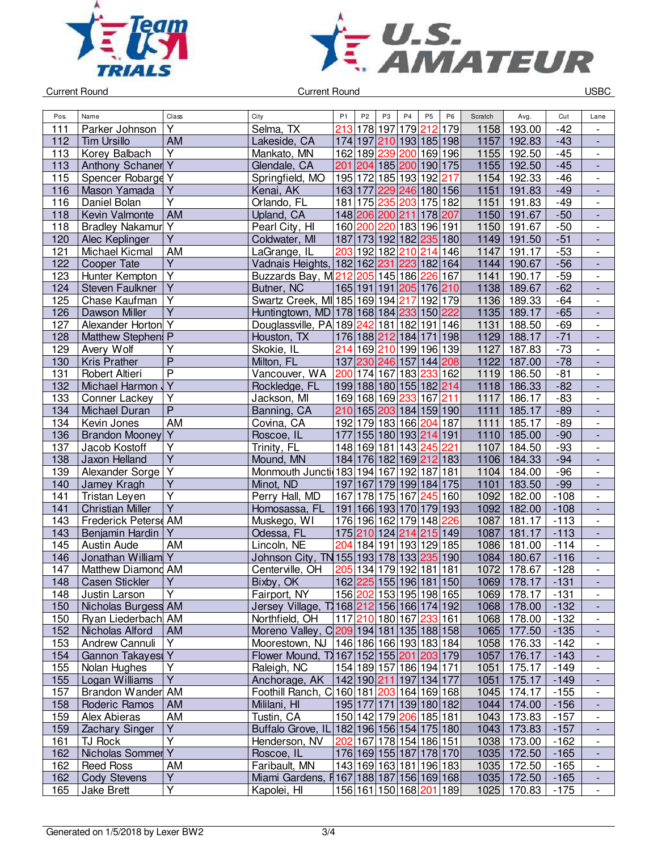



| Pos. | Name                         | Class                   | City                                          | P <sub>1</sub>                         | P <sub>2</sub> | P <sub>3</sub>          | P <sub>4</sub> | P <sub>5</sub>       | P <sub>6</sub> | Scratch | Avg.             | Cut    | Lane                         |
|------|------------------------------|-------------------------|-----------------------------------------------|----------------------------------------|----------------|-------------------------|----------------|----------------------|----------------|---------|------------------|--------|------------------------------|
| 111  | Parker Johnson               | Y                       | Selma, TX                                     | 213                                    | 178            | 197                     | 179            | 212                  | 179            | 1158    | 193.00           | $-42$  | $\overline{\phantom{0}}$     |
| 112  | <b>Tim Ursillo</b>           | <b>AM</b>               | Lakeside, CA                                  |                                        |                | 174 197 210 193 185 198 |                |                      |                | 1157    | 192.83           | $-43$  | $\overline{\phantom{a}}$     |
| 113  | Korey Balbach                | Υ                       | Mankato, MN                                   |                                        |                | 162 189 239 200 169 196 |                |                      |                | 1155    | 192.50           |        |                              |
|      |                              |                         |                                               |                                        |                |                         |                |                      |                | 1155    |                  | $-45$  | $\overline{\phantom{0}}$     |
| 113  | <b>Anthony Schaner Y</b>     |                         | Glendale, CA                                  |                                        |                | 201 204 185 200 190 175 |                |                      |                |         | 192.50           | $-45$  | $\qquad \qquad \blacksquare$ |
| 115  | Spencer Robarge Y            |                         | Springfield, MO                               |                                        |                | 195 172 185 193 192 217 |                |                      |                | 1154    | 192.33           | $-46$  | $\overline{\phantom{a}}$     |
| 116  | Mason Yamada                 | $\overline{Y}$          | Kenai, AK                                     |                                        |                | 163 177 229 246 180 156 |                |                      |                | 1151    | 191.83           | $-49$  | $\overline{a}$               |
| 116  | Daniel Bolan                 | $\overline{\mathsf{Y}}$ | Orlando, FL                                   |                                        |                | 181 175 235 203 175 182 |                |                      |                | 1151    | 191.83           | $-49$  | $\overline{\phantom{a}}$     |
| 118  | Kevin Valmonte               | <b>AM</b>               | Upland, CA                                    |                                        |                | 148 206 200 211         |                | 178 207              |                | 1150    | 191.67           | $-50$  |                              |
| 118  | <b>Bradley Nakamur</b> Y     |                         | Pearl City, HI                                |                                        |                | 160 200 220 183 196 191 |                |                      |                | 1150    | 191.67           | $-50$  | $\overline{\phantom{a}}$     |
| 120  | Alec Keplinger               | $\overline{Y}$          | Coldwater, MI                                 |                                        |                | 187 173 192 182 235 180 |                |                      |                | 1149    | 191.50           | $-51$  | ÷,                           |
| 121  | Michael Kicmal               | AM                      | LaGrange, IL                                  |                                        |                | 203 192 182 210         |                | 214 146              |                | 1147    | 191.17           | $-53$  | $\blacksquare$               |
| 122  | Cooper Tate                  | $\overline{Y}$          | Vadnais Heights, 182 162 231 223 182 164      |                                        |                |                         |                |                      |                | 1144    | 190.67           | $-56$  | $\overline{\phantom{a}}$     |
| 123  | Hunter Kempton               | Υ                       | Buzzards Bay, M212 205 145 186 226 167        |                                        |                |                         |                |                      |                | 1141    | 190.17           | $-59$  | $\overline{\phantom{0}}$     |
| 124  | Steven Faulkner              | Υ                       | Butner, NC                                    |                                        |                | 165 191 191 205 176 210 |                |                      |                | 1138    | 189.67           | $-62$  |                              |
| 125  | Chase Kaufman                | Υ                       | Swartz Creek, MI 185 169 194 217              |                                        |                |                         |                | 192 179              |                | 1136    | 189.33           | $-64$  | $\overline{\phantom{a}}$     |
| 126  | Dawson Miller                | Y                       | Huntingtown, MD 178 168 184 233 150 222       |                                        |                |                         |                |                      |                | 1135    | 189.17           | $-65$  | $\frac{1}{2}$                |
| 127  | Alexander Horton Y           |                         | Douglassville, PA 189 242 181 182 191 146     |                                        |                |                         |                |                      |                | 1131    | 188.50           | $-69$  | $\overline{\phantom{0}}$     |
| 128  | Matthew Stephen: P           |                         | Houston, TX                                   |                                        |                | 176 188 212 184         |                | 171 198              |                | 1129    | 188.17           | $-71$  | $\blacksquare$               |
| 129  | Avery Wolf                   | $\overline{\mathsf{Y}}$ | Skokie, IL                                    |                                        |                | 214 169 210 199 196 139 |                |                      |                | 1127    | 187.83           | $-73$  | $\overline{\phantom{a}}$     |
| 130  | <b>Kris Prather</b>          | $\overline{P}$          | Milton, FL                                    |                                        |                | 137 230 246 157         |                | 144 208              |                | 1122    | 187.00           | $-78$  | $\overline{a}$               |
| 131  | Robert Altieri               | $\overline{\mathsf{P}}$ | Vancouver, WA                                 | 200                                    |                | 174 167 183             |                | 233 162              |                | 1119    | 186.50           | $-81$  | $\blacksquare$               |
| 132  | Michael Harmon               | $\overline{Y}$          | Rockledge, FL                                 |                                        |                | 199 188 180 155 182 214 |                |                      |                | 1118    | 186.33           | $-82$  | $\overline{\phantom{a}}$     |
| 133  | Conner Lackey                | Υ                       | Jackson, MI                                   |                                        |                | 169 168 169 233 167 211 |                |                      |                | 1117    | 186.17           | $-83$  | $\overline{\phantom{0}}$     |
| 134  | Michael Duran                | $\overline{\mathsf{P}}$ | Banning, CA                                   |                                        |                | 210 165 203 184 159 190 |                |                      |                | 1111    | 185.17           | $-89$  | $\overline{\phantom{a}}$     |
| 134  | Kevin Jones                  | AM                      | Covina, CA                                    |                                        |                | 192 179 183 166 204 187 |                |                      |                | 1111    | 185.17           | $-89$  | $\overline{\phantom{0}}$     |
| 136  | Brandon Mooney               | $\overline{Y}$          | Roscoe, IL                                    |                                        |                | 177 155 180 193 214 191 |                |                      |                | 1110    | 185.00           | $-90$  | $\blacksquare$               |
| 137  | Jacob Kostoff                | $\overline{Y}$          | Trinity, FL                                   |                                        |                | 148 169 181 143 245 221 |                |                      |                | 1107    | 184.50           | $-93$  | $\overline{\phantom{a}}$     |
| 138  | Jaxon Helland                | $\overline{\mathsf{Y}}$ | Mound, MN                                     |                                        |                | 184 176 182 169 212 183 |                |                      |                | 1106    | 184.33           | $-94$  | $\blacksquare$               |
| 139  | Alexander Sorge              | $\overline{Y}$          | Monmouth Juncti 183 194 167 192 187 181       |                                        |                |                         |                |                      |                | 1104    | 184.00           | $-96$  | $\overline{\phantom{a}}$     |
| 140  | Jamey Kragh                  | $\overline{Y}$          | Minot, ND                                     |                                        |                | 197 167 179 199 184 175 |                |                      |                | 1101    | 183.50           | $-99$  | $\overline{a}$               |
| 141  | Tristan Leyen                | $\overline{\mathsf{Y}}$ | Perry Hall, MD                                |                                        |                | 167 178 175 167         |                | $\overline{245}$ 160 |                | 1092    | 182.00           | $-108$ | $\blacksquare$               |
| 141  | <b>Christian Miller</b>      | Ÿ                       | Homosassa, FL                                 |                                        |                | 191 166 193 170 179 193 |                |                      |                | 1092    | 182.00           | $-108$ | $\blacksquare$               |
| 143  | Frederick Peters AM          |                         | Muskego, WI                                   |                                        |                | 176 196 162 179 148 226 |                |                      |                | 1087    | 181.17           | $-113$ | $\overline{\phantom{0}}$     |
| 143  | Benjamin Hardin              | Y                       | Odessa, FL                                    |                                        |                | 175 210 124 214         |                | 215 149              |                | 1087    | 181.17           | $-113$ | $\blacksquare$               |
| 145  | <b>Austin Aude</b>           | AM                      | Lincoln, NE                                   | 204                                    |                | 184 191 193 129 185     |                |                      |                | 1086    | 181.00           | $-114$ |                              |
|      | Jonathan William Y           |                         |                                               |                                        |                |                         |                |                      |                | 1084    |                  | $-116$ |                              |
| 146  | Matthew Diamond AM           |                         | Johnson City, TN 155 193 178 133 235 190      |                                        |                |                         |                |                      |                | 1072    | 180.67<br>178.67 |        | $\frac{1}{2}$                |
| 147  |                              | Y                       | Centerville, OH                               |                                        |                | 205 134 179 192 181 181 |                |                      |                |         |                  | $-128$ | $\overline{\phantom{a}}$     |
| 148  | <b>Casen Stickler</b>        |                         | Bixby, OK                                     |                                        |                | 162 225 155 196 181 150 |                |                      |                | 1069    | 178.17           | $-131$ |                              |
| 148  | Justin Larson                | Υ                       | Fairport, NY                                  |                                        |                | 156 202 153 195 198 165 |                |                      |                |         | 1069 178.17      | $-131$ |                              |
| 150  | Nicholas Burgess AM          |                         | Jersey Village, T 168 212 156 166 174 192     |                                        |                |                         |                |                      |                |         | 1068 178.00      | $-132$ | $\frac{1}{2}$                |
| 150  | Ryan Liederbach AM           |                         | Northfield, OH                                |                                        |                | 117 210 180 167 233 161 |                |                      |                |         | 1068 178.00      | $-132$ | $\overline{\phantom{0}}$     |
| 152  | Nicholas Alford              | AM                      | Moreno Valley, C 209 194 181 135 188 158      |                                        |                |                         |                |                      |                |         | 1065 177.50      | $-135$ | $\overline{\phantom{a}}$     |
| 153  | Andrew Cannuli               | Y                       | Moorestown, NJ   146  186  166  193  183  184 |                                        |                |                         |                |                      |                | 1058    | 176.33           | $-142$ | $\overline{\phantom{0}}$     |
| 154  | Gannon Takayesi Y            |                         | Flower Mound, T 167 152 155 201 203 179       |                                        |                |                         |                |                      |                | 1057    | 176.17           | $-143$ | $\qquad \qquad \blacksquare$ |
| 155  | Nolan Hughes                 | Υ                       | Raleigh, NC                                   |                                        |                | 154 189 157 186 194 171 |                |                      |                | 1051    | 175.17           | $-149$ | $\overline{\phantom{0}}$     |
| 155  | Logan Williams               | $\overline{Y}$          | Anchorage, AK                                 | 142 190  <mark>211</mark>  197 134 177 |                |                         |                |                      |                | 1051    | 175.17           | $-149$ | $\qquad \qquad \blacksquare$ |
| 157  | Brandon Wander AM            |                         | Foothill Ranch, C 160 181 203 164 169 168     |                                        |                |                         |                |                      |                | 1045    | 174.17           | $-155$ | $\overline{\phantom{a}}$     |
| 158  | Roderic Ramos                | <b>AM</b>               | Mililani, HI                                  |                                        |                | 195 177 171 139 180 182 |                |                      |                | 1044    | 174.00           | $-156$ | $\overline{\phantom{a}}$     |
| 159  | Alex Abieras                 | AM                      | Tustin, CA                                    |                                        |                | 150 142 179 206 185 181 |                |                      |                | 1043    | 173.83           | $-157$ | $\blacksquare$               |
| 159  | <b>Zachary Singer</b>        | Υ                       | Buffalo Grove, IL 182 196 156 154 175 180     |                                        |                |                         |                |                      |                |         | 1043 173.83      | $-157$ | $\overline{\phantom{a}}$     |
| 161  | TJ Rock                      | $\overline{Y}$          | Henderson, NV                                 |                                        |                | 202 167 178 154 186 151 |                |                      |                | 1038    | 173.00           | $-162$ | $\overline{\phantom{a}}$     |
| 162  | Nicholas Sommer <sub>Y</sub> |                         | Roscoe, IL                                    |                                        |                | 176 169 155 187 178 170 |                |                      |                |         | 1035 172.50      | $-165$ | $\overline{\phantom{a}}$     |
| 162  | <b>Reed Ross</b>             | AM                      | Faribault, MN                                 |                                        |                | 143 169 163 181 196 183 |                |                      |                | 1035    | 172.50           | $-165$ | $\overline{\phantom{a}}$     |
| 162  | <b>Cody Stevens</b>          | Υ                       | Miami Gardens, F167 188 187 156 169 168       |                                        |                |                         |                |                      |                |         | 1035 172.50      | $-165$ | $\overline{\phantom{a}}$     |
| 165  | Jake Brett                   | $\overline{Y}$          | Kapolei, HI                                   |                                        |                | 156 161 150 168 201 189 |                |                      |                |         | 1025 170.83      | $-175$ | $\overline{\phantom{0}}$     |